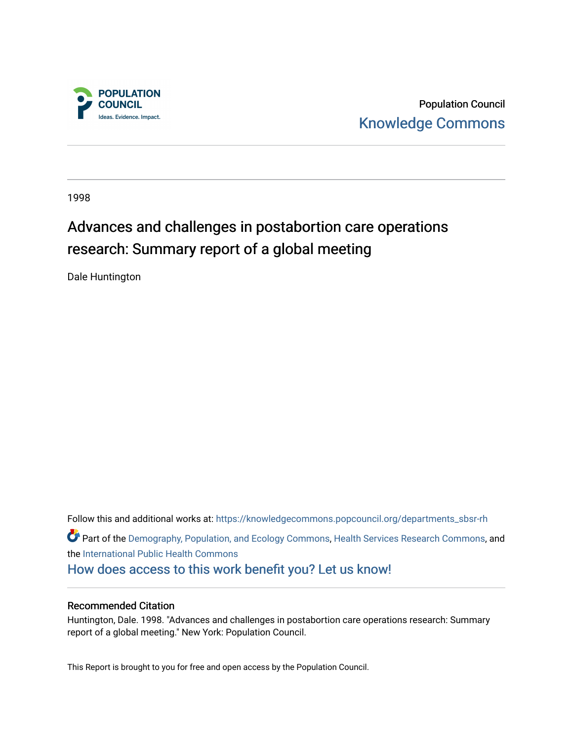

Population Council [Knowledge Commons](https://knowledgecommons.popcouncil.org/) 

1998

# Advances and challenges in postabortion care operations research: Summary report of a global meeting

Dale Huntington

Follow this and additional works at: [https://knowledgecommons.popcouncil.org/departments\\_sbsr-rh](https://knowledgecommons.popcouncil.org/departments_sbsr-rh?utm_source=knowledgecommons.popcouncil.org%2Fdepartments_sbsr-rh%2F1895&utm_medium=PDF&utm_campaign=PDFCoverPages)  Part of the [Demography, Population, and Ecology Commons,](https://network.bepress.com/hgg/discipline/418?utm_source=knowledgecommons.popcouncil.org%2Fdepartments_sbsr-rh%2F1895&utm_medium=PDF&utm_campaign=PDFCoverPages) [Health Services Research Commons,](https://network.bepress.com/hgg/discipline/816?utm_source=knowledgecommons.popcouncil.org%2Fdepartments_sbsr-rh%2F1895&utm_medium=PDF&utm_campaign=PDFCoverPages) and the [International Public Health Commons](https://network.bepress.com/hgg/discipline/746?utm_source=knowledgecommons.popcouncil.org%2Fdepartments_sbsr-rh%2F1895&utm_medium=PDF&utm_campaign=PDFCoverPages)  [How does access to this work benefit you? Let us know!](https://pcouncil.wufoo.com/forms/open-access-to-population-council-research/)

### Recommended Citation

Huntington, Dale. 1998. "Advances and challenges in postabortion care operations research: Summary report of a global meeting." New York: Population Council.

This Report is brought to you for free and open access by the Population Council.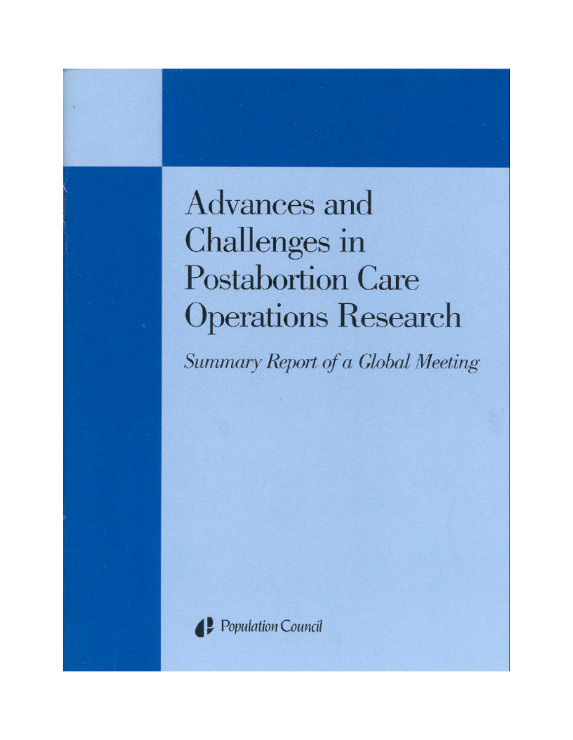# Advances and **Challenges** in **Postabortion Care Operations Research**

Summary Report of a Global Meeting



Population Council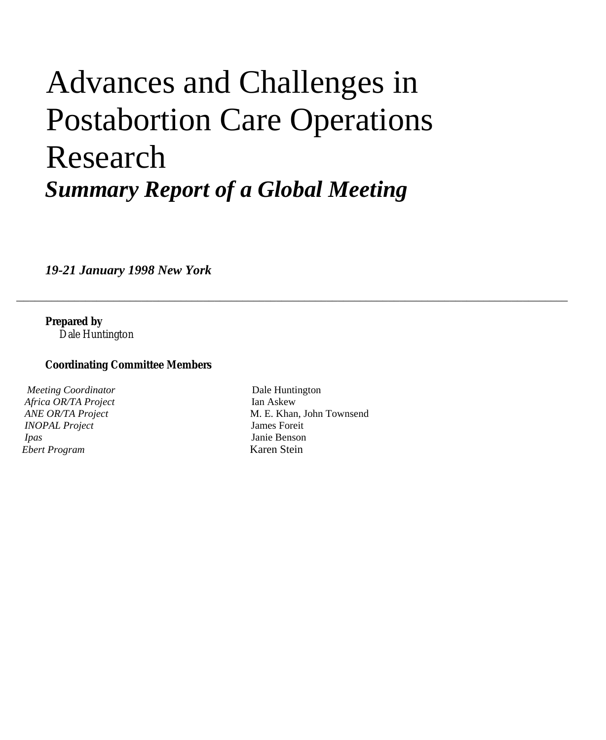# Advances and Challenges in Postabortion Care Operations Research *Summary Report of a Global Meeting*

*19-21 January 1998 New York*

**Prepared by**

Dale Huntington

### **Coordinating Committee Members**

*Meeting Coordinator* Dale Huntington  *Africa OR/TA Project* Ian Askew  *INOPAL Project* James Foreit  *Ipas* Janie Benson  *Ebert Program* Karen Stein

*ANE OR/TA Project* M. E. Khan, John Townsend

\_\_\_\_\_\_\_\_\_\_\_\_\_\_\_\_\_\_\_\_\_\_\_\_\_\_\_\_\_\_\_\_\_\_\_\_\_\_\_\_\_\_\_\_\_\_\_\_\_\_\_\_\_\_\_\_\_\_\_\_\_\_\_\_\_\_\_\_\_\_\_\_\_\_\_\_\_\_\_\_\_\_\_\_\_\_\_\_\_\_\_\_\_\_\_\_\_\_\_\_\_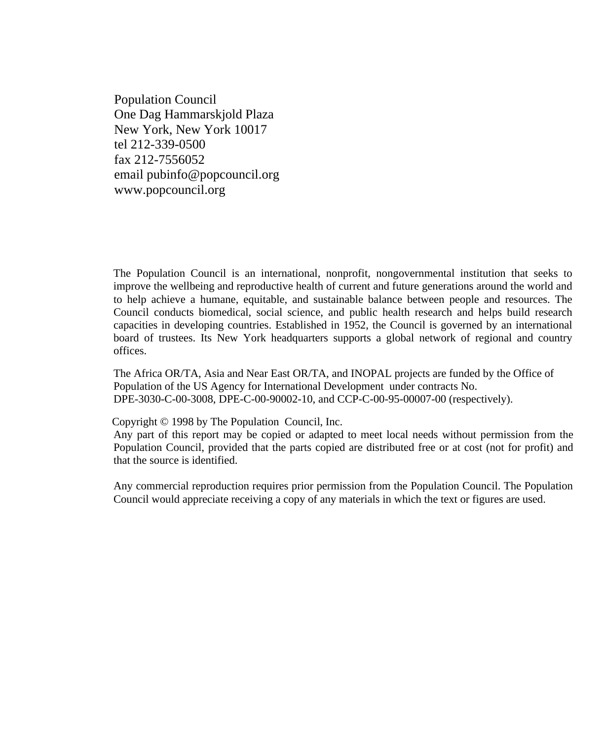Population Council One Dag Hammarskjold Plaza New York, New York 10017 tel 212-339-0500 fax 212-7556052 email pubinfo@popcouncil.org www.popcouncil.org

The Population Council is an international, nonprofit, nongovernmental institution that seeks to improve the wellbeing and reproductive health of current and future generations around the world and to help achieve a humane, equitable, and sustainable balance between people and resources. The Council conducts biomedical, social science, and public health research and helps build research capacities in developing countries. Established in 1952, the Council is governed by an international board of trustees. Its New York headquarters supports a global network of regional and country offices.

The Africa OR/TA, Asia and Near East OR/TA, and INOPAL projects are funded by the Office of Population of the US Agency for International Development under contracts No. DPE-3030-C-00-3008, DPE-C-00-90002-10, and CCP-C-00-95-00007-00 (respectively).

Copyright © 1998 by The Population Council, Inc.

Any part of this report may be copied or adapted to meet local needs without permission from the Population Council, provided that the parts copied are distributed free or at cost (not for profit) and that the source is identified.

Any commercial reproduction requires prior permission from the Population Council. The Population Council would appreciate receiving a copy of any materials in which the text or figures are used.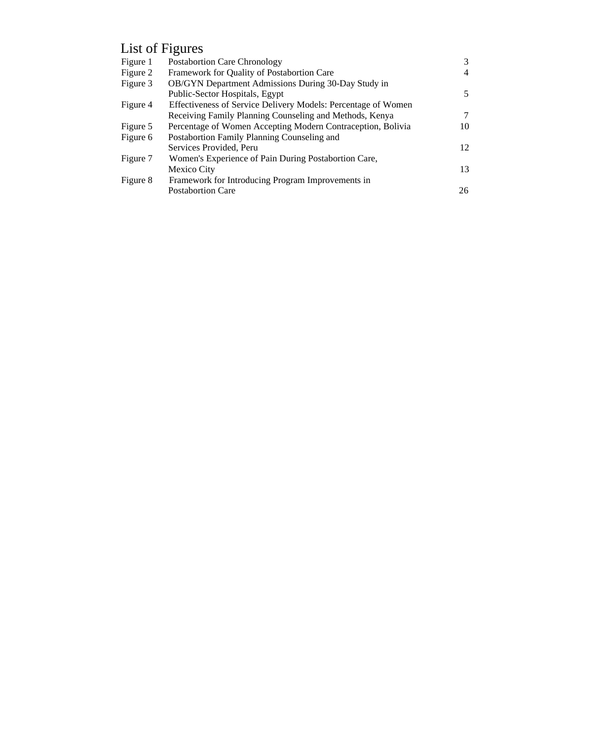## List of Figures

| Figure 1 | <b>Postabortion Care Chronology</b>                           | 3  |
|----------|---------------------------------------------------------------|----|
| Figure 2 | Framework for Quality of Postabortion Care                    | 4  |
| Figure 3 | OB/GYN Department Admissions During 30-Day Study in           |    |
|          | Public-Sector Hospitals, Egypt                                | 5  |
| Figure 4 | Effectiveness of Service Delivery Models: Percentage of Women |    |
|          | Receiving Family Planning Counseling and Methods, Kenya       | 7  |
| Figure 5 | Percentage of Women Accepting Modern Contraception, Bolivia   | 10 |
| Figure 6 | Postabortion Family Planning Counseling and                   |    |
|          | Services Provided, Peru                                       | 12 |
| Figure 7 | Women's Experience of Pain During Postabortion Care,          |    |
|          | Mexico City                                                   | 13 |
| Figure 8 | Framework for Introducing Program Improvements in             |    |
|          | <b>Postabortion Care</b>                                      | 26 |
|          |                                                               |    |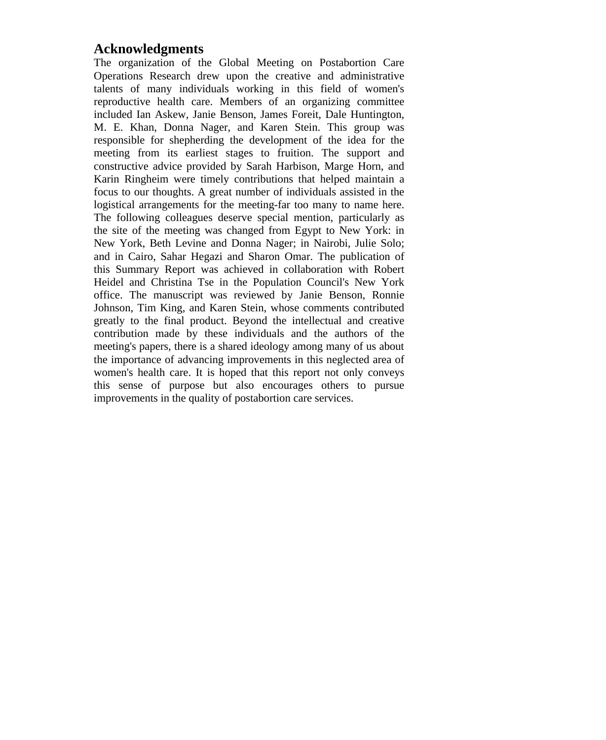## **Acknowledgments**

The organization of the Global Meeting on Postabortion Care Operations Research drew upon the creative and administrative talents of many individuals working in this field of women's reproductive health care. Members of an organizing committee included Ian Askew, Janie Benson, James Foreit, Dale Huntington, M. E. Khan, Donna Nager, and Karen Stein. This group was responsible for shepherding the development of the idea for the meeting from its earliest stages to fruition. The support and constructive advice provided by Sarah Harbison, Marge Horn, and Karin Ringheim were timely contributions that helped maintain a focus to our thoughts. A great number of individuals assisted in the logistical arrangements for the meeting-far too many to name here. The following colleagues deserve special mention, particularly as the site of the meeting was changed from Egypt to New York: in New York, Beth Levine and Donna Nager; in Nairobi, Julie Solo; and in Cairo, Sahar Hegazi and Sharon Omar. The publication of this Summary Report was achieved in collaboration with Robert Heidel and Christina Tse in the Population Council's New York office. The manuscript was reviewed by Janie Benson, Ronnie Johnson, Tim King, and Karen Stein, whose comments contributed greatly to the final product. Beyond the intellectual and creative contribution made by these individuals and the authors of the meeting's papers, there is a shared ideology among many of us about the importance of advancing improvements in this neglected area of women's health care. It is hoped that this report not only conveys this sense of purpose but also encourages others to pursue improvements in the quality of postabortion care services.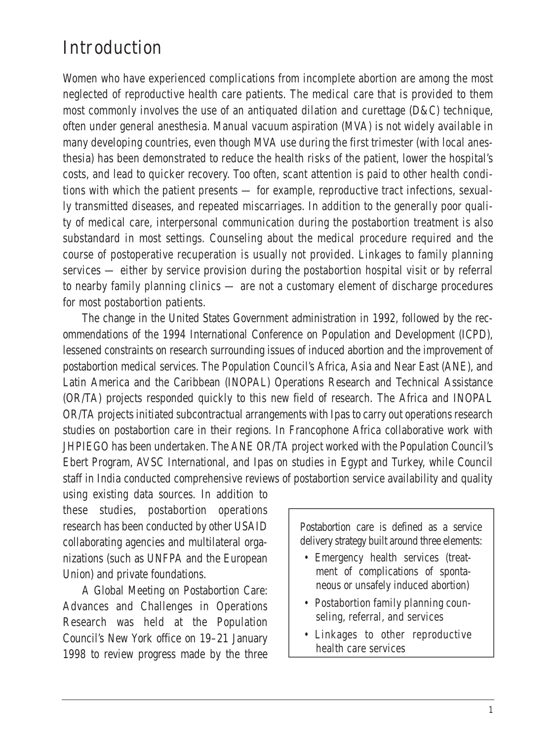#### Introduction

Women who have experienced complications from incomplete abortion are among the most neglected of reproductive health care patients. The medical care that is provided to them most commonly involves the use of an antiquated dilation and curettage (D&C) technique, often under general anesthesia. Manual vacuum aspiration (MVA) is not widely available in many developing countries, even though MVA use during the first trimester (with local anesthesia) has been demonstrated to reduce the health risks of the patient, lower the hospital's costs, and lead to quicker recovery. Too often, scant attention is paid to other health conditions with which the patient presents — for example, reproductive tract infections, sexually transmitted diseases, and repeated miscarriages. In addition to the generally poor quality of medical care, interpersonal communication during the postabortion treatment is also substandard in most settings. Counseling about the medical procedure required and the course of postoperative recuperation is usually not provided. Linkages to family planning services — either by service provision during the postabortion hospital visit or by referral to nearby family planning clinics — are not a customary element of discharge procedures for most postabortion patients.

The change in the United States Government administration in 1992, followed by the recommendations of the 1994 International Conference on Population and Development (ICPD), lessened constraints on research surrounding issues of induced abortion and the improvement of postabortion medical services. The Population Council's Africa, Asia and Near East (ANE), and Latin America and the Caribbean (INOPAL) Operations Research and Technical Assistance (OR/TA) projects responded quickly to this new field of research. The Africa and INOPAL OR/TA projects initiated subcontractual arrangements with Ipas to carry out operations research studies on postabortion care in their regions. In Francophone Africa collaborative work with JHPIEGO has been undertaken. The ANE OR/TA project worked with the Population Council's Ebert Program, AVSC International, and Ipas on studies in Egypt and Turkey, while Council staff in India conducted comprehensive reviews of postabortion service availability and quality

using existing data sources. In addition to these studies, postabortion operations research has been conducted by other USAID collaborating agencies and multilateral organizations (such as UNFPA and the European Union) and private foundations.

A Global Meeting on Postabortion Care: Advances and Challenges in Operations Research was held at the Population Council's New York office on 19–21 January 1998 to review progress made by the three

Postabortion care is defined as a service delivery strategy built around three elements:

- Emergency health services (treatment of complications of spontaneous or unsafely induced abortion)
- Postabortion family planning counseling, referral, and services
- Linkages to other reproductive health care services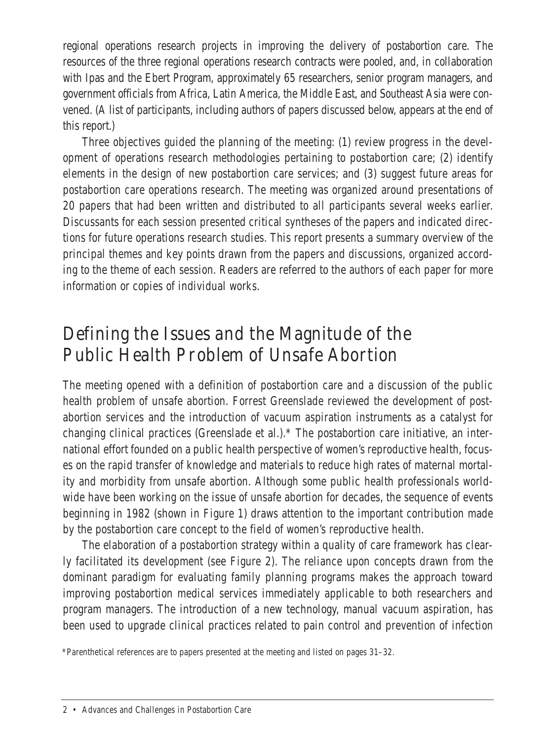regional operations research projects in improving the delivery of postabortion care. The resources of the three regional operations research contracts were pooled, and, in collaboration with Ipas and the Ebert Program, approximately 65 researchers, senior program managers, and government officials from Africa, Latin America, the Middle East, and Southeast Asia were convened. (A list of participants, including authors of papers discussed below, appears at the end of this report.)

Three objectives guided the planning of the meeting: (1) review progress in the development of operations research methodologies pertaining to postabortion care; (2) identify elements in the design of new postabortion care services; and (3) suggest future areas for postabortion care operations research. The meeting was organized around presentations of 20 papers that had been written and distributed to all participants several weeks earlier. Discussants for each session presented critical syntheses of the papers and indicated directions for future operations research studies. This report presents a summary overview of the principal themes and key points drawn from the papers and discussions, organized according to the theme of each session. Readers are referred to the authors of each paper for more information or copies of individual works.

#### Defining the Issues and the Magnitude of the Public Health Problem of Unsafe Abortion

The meeting opened with a definition of postabortion care and a discussion of the public health problem of unsafe abortion. Forrest Greenslade reviewed the development of postabortion services and the introduction of vacuum aspiration instruments as a catalyst for changing clinical practices (Greenslade et al.).\* The postabortion care initiative, an international effort founded on a public health perspective of women's reproductive health, focuses on the rapid transfer of knowledge and materials to reduce high rates of maternal mortality and morbidity from unsafe abortion. Although some public health professionals worldwide have been working on the issue of unsafe abortion for decades, the sequence of events beginning in 1982 (shown in Figure 1) draws attention to the important contribution made by the postabortion care concept to the field of women's reproductive health.

The elaboration of a postabortion strategy within a quality of care framework has clearly facilitated its development (see Figure 2). The reliance upon concepts drawn from the dominant paradigm for evaluating family planning programs makes the approach toward improving postabortion medical services immediately applicable to both researchers and program managers. The introduction of a new technology, manual vacuum aspiration, has been used to upgrade clinical practices related to pain control and prevention of infection

\*Parenthetical references are to papers presented at the meeting and listed on pages 31–32.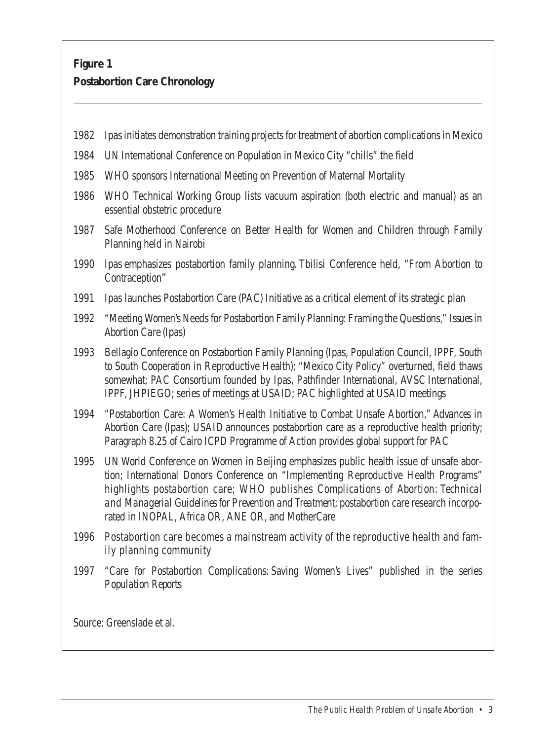#### **Figure 1 Postabortion Care Chronology**

| 1982                      | Ipas initiates demonstration training projects for treatment of abortion complications in Mexico                                                                                                                                                                                                                                                                                                                        |  |
|---------------------------|-------------------------------------------------------------------------------------------------------------------------------------------------------------------------------------------------------------------------------------------------------------------------------------------------------------------------------------------------------------------------------------------------------------------------|--|
| 1984                      | UN International Conference on Population in Mexico City "chills" the field                                                                                                                                                                                                                                                                                                                                             |  |
| 1985                      | WHO sponsors International Meeting on Prevention of Maternal Mortality                                                                                                                                                                                                                                                                                                                                                  |  |
| 1986                      | WHO Technical Working Group lists vacuum aspiration (both electric and manual) as an<br>essential obstetric procedure                                                                                                                                                                                                                                                                                                   |  |
| 1987                      | Safe Motherhood Conference on Better Health for Women and Children through Family<br>Planning held in Nairobi                                                                                                                                                                                                                                                                                                           |  |
| 1990                      | Ipas emphasizes postabortion family planning. Tbilisi Conference held, "From Abortion to<br>Contraception"                                                                                                                                                                                                                                                                                                              |  |
| 1991                      | Ipas launches Postabortion Care (PAC) Initiative as a critical element of its strategic plan                                                                                                                                                                                                                                                                                                                            |  |
| 1992                      | "Meeting Women's Needs for Postabortion Family Planning: Framing the Questions," Issues in<br><b>Abortion Care (Ipas)</b>                                                                                                                                                                                                                                                                                               |  |
| 1993                      | Bellagio Conference on Postabortion Family Planning (Ipas, Population Council, IPPF, South<br>to South Cooperation in Reproductive Health); "Mexico City Policy" overturned, field thaws<br>somewhat; PAC Consortium founded by Ipas, Pathfinder International, AVSC International,<br>IPPF, JHPIEGO; series of meetings at USAID; PAC highlighted at USAID meetings                                                    |  |
|                           | 1994 "Postabortion Care: A Women's Health Initiative to Combat Unsafe Abortion." Advances in<br>Abortion Care (Ipas); USAID announces postabortion care as a reproductive health priority;<br>Paragraph 8.25 of Cairo ICPD Programme of Action provides global support for PAC                                                                                                                                          |  |
| 1995                      | UN World Conference on Women in Beijing emphasizes public health issue of unsafe abor-<br>tion: International Donors Conference on "Implementing Reproductive Health Programs"<br>highlights postabortion care; WHO publishes Complications of Abortion: Technical<br>and Managerial Guidelines for Prevention and Treatment, postabortion care research incorpo-<br>rated in INOPAL. Africa OR. ANE OR. and MotherCare |  |
| 1996                      | Postabortion care becomes a mainstream activity of the reproductive health and fam-<br>ily planning community                                                                                                                                                                                                                                                                                                           |  |
|                           | 1997 "Care for Postabortion Complications: Saving Women's Lives" published in the series<br><b>Population Reports</b>                                                                                                                                                                                                                                                                                                   |  |
|                           |                                                                                                                                                                                                                                                                                                                                                                                                                         |  |
| Source: Greenslade et al. |                                                                                                                                                                                                                                                                                                                                                                                                                         |  |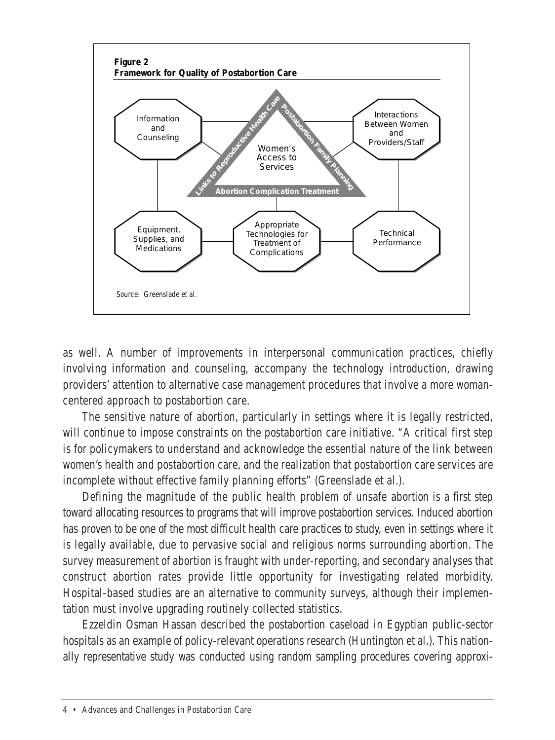

as well. A number of improvements in interpersonal communication practices, chiefly involving information and counseling, accompany the technology introduction, drawing providers' attention to alternative case management procedures that involve a more womancentered approach to postabortion care.

The sensitive nature of abortion, particularly in settings where it is legally restricted, will continue to impose constraints on the postabortion care initiative. "A critical first step is for policymakers to understand and acknowledge the essential nature of the link between women's health and postabortion care, and the realization that postabortion care services are incomplete without effective family planning efforts" (Greenslade et al.).

Defining the magnitude of the public health problem of unsafe abortion is a first step toward allocating resources to programs that will improve postabortion services. Induced abortion has proven to be one of the most difficult health care practices to study, even in settings where it is legally available, due to pervasive social and religious norms surrounding abortion. The survey measurement of abortion is fraught with under-reporting, and secondary analyses that construct abortion rates provide little opportunity for investigating related morbidity. Hospital-based studies are an alternative to community surveys, although their implementation must involve upgrading routinely collected statistics.

Ezzeldin Osman Hassan described the postabortion caseload in Egyptian public-sector hospitals as an example of policy-relevant operations research (Huntington et al.). This nationally representative study was conducted using random sampling procedures covering approxi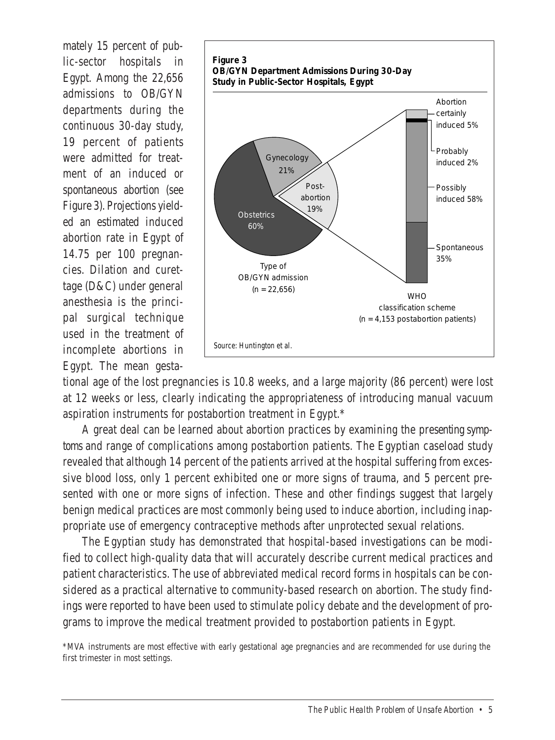mately 15 percent of public-sector hospitals in Egypt. Among the 22,656 admissions to OB/GYN departments during the continuous 30-day study, 19 percent of patients were admitted for treatment of an induced or spontaneous abortion (see Figure 3). Projections yielded an estimated induced abortion rate in Egypt of 14.75 per 100 pregnancies. Dilation and curettage (D&C) under general anesthesia is the principal surgical technique used in the treatment of incomplete abortions in Egypt. The mean gesta-



tional age of the lost pregnancies is 10.8 weeks, and a large majority (86 percent) were lost at 12 weeks or less, clearly indicating the appropriateness of introducing manual vacuum aspiration instruments for postabortion treatment in Egypt.\*

A great deal can be learned about abortion practices by examining the presenting symptoms and range of complications among postabortion patients. The Egyptian caseload study revealed that although 14 percent of the patients arrived at the hospital suffering from excessive blood loss, only 1 percent exhibited one or more signs of trauma, and 5 percent presented with one or more signs of infection. These and other findings suggest that largely benign medical practices are most commonly being used to induce abortion, including inappropriate use of emergency contraceptive methods after unprotected sexual relations.

The Egyptian study has demonstrated that hospital-based investigations can be modified to collect high-quality data that will accurately describe current medical practices and patient characteristics. The use of abbreviated medical record forms in hospitals can be considered as a practical alternative to community-based research on abortion. The study findings were reported to have been used to stimulate policy debate and the development of programs to improve the medical treatment provided to postabortion patients in Egypt.

\*MVA instruments are most effective with early gestational age pregnancies and are recommended for use during the first trimester in most settings.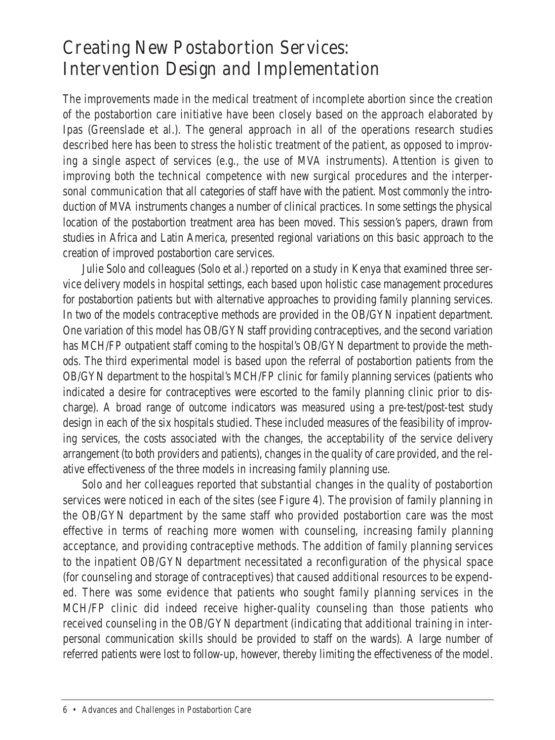#### Creating New Postabortion Services: Intervention Design and Implementation

The improvements made in the medical treatment of incomplete abortion since the creation of the postabortion care initiative have been closely based on the approach elaborated by Ipas (Greenslade et al.). The general approach in all of the operations research studies described here has been to stress the holistic treatment of the patient, as opposed to improving a single aspect of services (e.g., the use of MVA instruments). Attention is given to improving both the technical competence with new surgical procedures and the interpersonal communication that all categories of staff have with the patient. Most commonly the introduction of MVA instruments changes a number of clinical practices. In some settings the physical location of the postabortion treatment area has been moved. This session's papers, drawn from studies in Africa and Latin America, presented regional variations on this basic approach to the creation of improved postabortion care services.

Julie Solo and colleagues (Solo et al.) reported on a study in Kenya that examined three service delivery models in hospital settings, each based upon holistic case management procedures for postabortion patients but with alternative approaches to providing family planning services. In two of the models contraceptive methods are provided in the OB/GYN inpatient department. One variation of this model has OB/GYN staff providing contraceptives, and the second variation has MCH/FP outpatient staff coming to the hospital's OB/GYN department to provide the methods. The third experimental model is based upon the referral of postabortion patients from the OB/GYN department to the hospital's MCH/FP clinic for family planning services (patients who indicated a desire for contraceptives were escorted to the family planning clinic prior to discharge). A broad range of outcome indicators was measured using a pre-test/post-test study design in each of the six hospitals studied. These included measures of the feasibility of improving services, the costs associated with the changes, the acceptability of the service delivery arrangement (to both providers and patients), changes in the quality of care provided, and the relative effectiveness of the three models in increasing family planning use.

Solo and her colleagues reported that substantial changes in the quality of postabortion services were noticed in each of the sites (see Figure 4). The provision of family planning in the OB/GYN department by the same staff who provided postabortion care was the most effective in terms of reaching more women with counseling, increasing family planning acceptance, and providing contraceptive methods. The addition of family planning services to the inpatient OB/GYN department necessitated a reconfiguration of the physical space (for counseling and storage of contraceptives) that caused additional resources to be expended. There was some evidence that patients who sought family planning services in the MCH/FP clinic did indeed receive higher-quality counseling than those patients who received counseling in the OB/GYN department (indicating that additional training in interpersonal communication skills should be provided to staff on the wards). A large number of referred patients were lost to follow-up, however, thereby limiting the effectiveness of the model.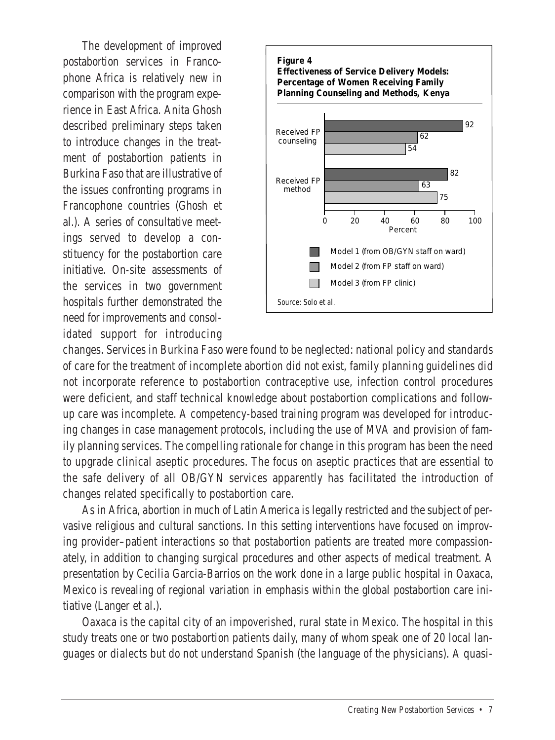The development of improved postabortion services in Francophone Africa is relatively new in comparison with the program experience in East Africa. Anita Ghosh described preliminary steps taken to introduce changes in the treatment of postabortion patients in Burkina Faso that are illustrative of the issues confronting programs in Francophone countries (Ghosh et al.). A series of consultative meetings served to develop a constituency for the postabortion care initiative. On-site assessments of the services in two government hospitals further demonstrated the need for improvements and consolidated support for introducing



changes. Services in Burkina Faso were found to be neglected: national policy and standards of care for the treatment of incomplete abortion did not exist, family planning guidelines did not incorporate reference to postabortion contraceptive use, infection control procedures were deficient, and staff technical knowledge about postabortion complications and followup care was incomplete. A competency-based training program was developed for introducing changes in case management protocols, including the use of MVA and provision of family planning services. The compelling rationale for change in this program has been the need to upgrade clinical aseptic procedures. The focus on aseptic practices that are essential to the safe delivery of all OB/GYN services apparently has facilitated the introduction of changes related specifically to postabortion care.

As in Africa, abortion in much of Latin America is legally restricted and the subject of pervasive religious and cultural sanctions. In this setting interventions have focused on improving provider–patient interactions so that postabortion patients are treated more compassionately, in addition to changing surgical procedures and other aspects of medical treatment. A presentation by Cecilia Garcia-Barrios on the work done in a large public hospital in Oaxaca, Mexico is revealing of regional variation in emphasis within the global postabortion care initiative (Langer et al.).

Oaxaca is the capital city of an impoverished, rural state in Mexico. The hospital in this study treats one or two postabortion patients daily, many of whom speak one of 20 local languages or dialects but do not understand Spanish (the language of the physicians). A quasi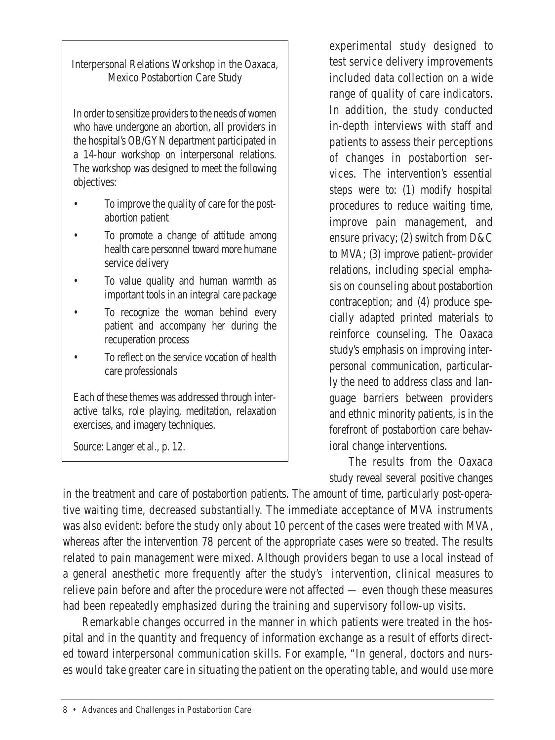Interpersonal Relations Workshop in the Oaxaca, Mexico Postabortion Care Study

In order to sensitize providers to the needs of women who have undergone an abortion, all providers in the hospital's OB/GYN department participated in a 14-hour workshop on interpersonal relations. The workshop was designed to meet the following objectives:

- To improve the quality of care for the postabortion patient
- To promote a change of attitude among health care personnel toward more humane service delivery
- To value quality and human warmth as important tools in an integral care package
- To recognize the woman behind every patient and accompany her during the recuperation process
- To reflect on the service vocation of health care professionals

Each of these themes was addressed through interactive talks, role playing, meditation, relaxation exercises, and imagery techniques.

Source: Langer et al., p. 12.

experimental study designed to test service delivery improvements included data collection on a wide range of quality of care indicators. In addition, the study conducted in-depth interviews with staff and patients to assess their perceptions of changes in postabortion services. The intervention's essential steps were to: (1) modify hospital procedures to reduce waiting time, improve pain management, and ensure privacy; (2) switch from D&C to MVA; (3) improve patient–provider relations, including special emphasis on counseling about postabortion contraception; and (4) produce specially adapted printed materials to reinforce counseling. The Oaxaca study's emphasis on improving interpersonal communication, particularly the need to address class and language barriers between providers and ethnic minority patients, is in the forefront of postabortion care behavioral change interventions.

The results from the Oaxaca study reveal several positive changes

in the treatment and care of postabortion patients. The amount of time, particularly post-operative waiting time, decreased substantially. The immediate acceptance of MVA instruments was also evident: before the study only about 10 percent of the cases were treated with MVA, whereas after the intervention 78 percent of the appropriate cases were so treated. The results related to pain management were mixed. Although providers began to use a local instead of a general anesthetic more frequently after the study's intervention, clinical measures to relieve pain before and after the procedure were not affected — even though these measures had been repeatedly emphasized during the training and supervisory follow-up visits.

Remarkable changes occurred in the manner in which patients were treated in the hospital and in the quantity and frequency of information exchange as a result of efforts directed toward interpersonal communication skills. For example, "In general, doctors and nurses would take greater care in situating the patient on the operating table, and would use more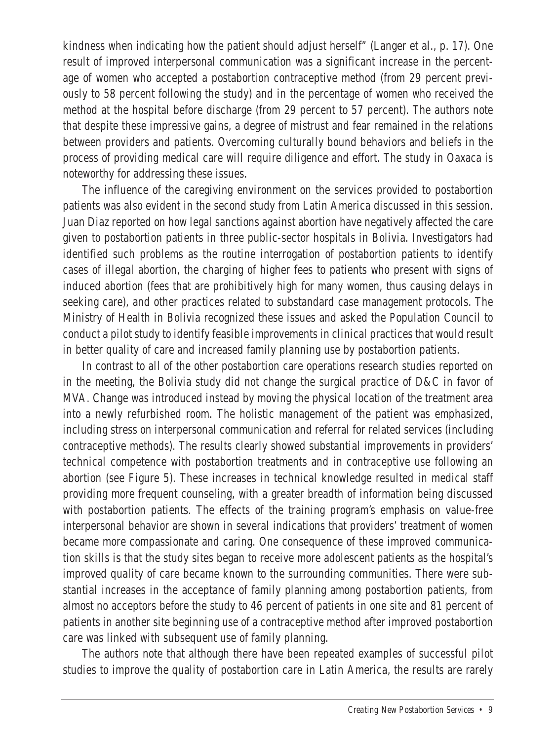kindness when indicating how the patient should adjust herself" (Langer et al., p. 17). One result of improved interpersonal communication was a significant increase in the percentage of women who accepted a postabortion contraceptive method (from 29 percent previously to 58 percent following the study) and in the percentage of women who received the method at the hospital before discharge (from 29 percent to 57 percent). The authors note that despite these impressive gains, a degree of mistrust and fear remained in the relations between providers and patients. Overcoming culturally bound behaviors and beliefs in the process of providing medical care will require diligence and effort. The study in Oaxaca is noteworthy for addressing these issues.

The influence of the caregiving environment on the services provided to postabortion patients was also evident in the second study from Latin America discussed in this session. Juan Diaz reported on how legal sanctions against abortion have negatively affected the care given to postabortion patients in three public-sector hospitals in Bolivia. Investigators had identified such problems as the routine interrogation of postabortion patients to identify cases of illegal abortion, the charging of higher fees to patients who present with signs of induced abortion (fees that are prohibitively high for many women, thus causing delays in seeking care), and other practices related to substandard case management protocols. The Ministry of Health in Bolivia recognized these issues and asked the Population Council to conduct a pilot study to identify feasible improvements in clinical practices that would result in better quality of care and increased family planning use by postabortion patients.

In contrast to all of the other postabortion care operations research studies reported on in the meeting, the Bolivia study did not change the surgical practice of D&C in favor of MVA. Change was introduced instead by moving the physical location of the treatment area into a newly refurbished room. The holistic management of the patient was emphasized, including stress on interpersonal communication and referral for related services (including contraceptive methods). The results clearly showed substantial improvements in providers' technical competence with postabortion treatments and in contraceptive use following an abortion (see Figure 5). These increases in technical knowledge resulted in medical staff providing more frequent counseling, with a greater breadth of information being discussed with postabortion patients. The effects of the training program's emphasis on value-free interpersonal behavior are shown in several indications that providers' treatment of women became more compassionate and caring. One consequence of these improved communication skills is that the study sites began to receive more adolescent patients as the hospital's improved quality of care became known to the surrounding communities. There were substantial increases in the acceptance of family planning among postabortion patients, from almost no acceptors before the study to 46 percent of patients in one site and 81 percent of patients in another site beginning use of a contraceptive method after improved postabortion care was linked with subsequent use of family planning.

The authors note that although there have been repeated examples of successful pilot studies to improve the quality of postabortion care in Latin America, the results are rarely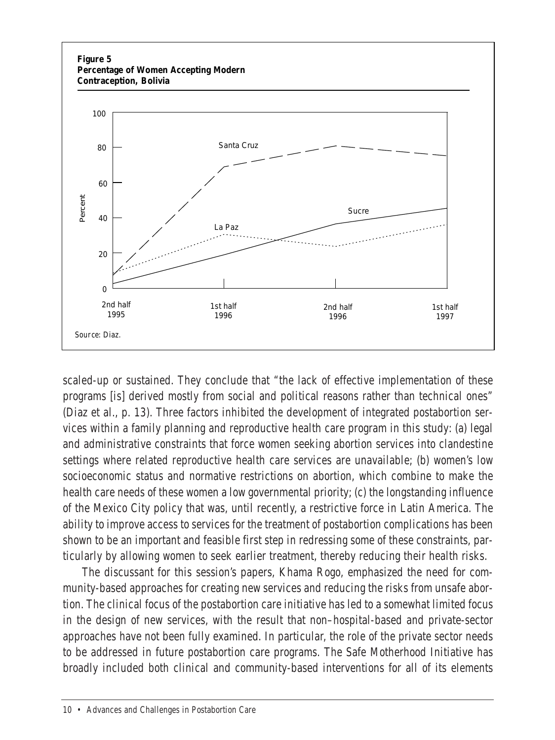

scaled-up or sustained. They conclude that "the lack of effective implementation of these programs [is] derived mostly from social and political reasons rather than technical ones" (Diaz et al., p. 13). Three factors inhibited the development of integrated postabortion services within a family planning and reproductive health care program in this study: (a) legal and administrative constraints that force women seeking abortion services into clandestine settings where related reproductive health care services are unavailable; (b) women's low socioeconomic status and normative restrictions on abortion, which combine to make the health care needs of these women a low governmental priority; (c) the longstanding influence of the Mexico City policy that was, until recently, a restrictive force in Latin America. The ability to improve access to services for the treatment of postabortion complications has been shown to be an important and feasible first step in redressing some of these constraints, particularly by allowing women to seek earlier treatment, thereby reducing their health risks.

The discussant for this session's papers. Khama Rogo, emphasized the need for community-based approaches for creating new services and reducing the risks from unsafe abortion. The clinical focus of the postabortion care initiative has led to a somewhat limited focus in the design of new services, with the result that non–hospital-based and private-sector approaches have not been fully examined. In particular, the role of the private sector needs to be addressed in future postabortion care programs. The Safe Motherhood Initiative has broadly included both clinical and community-based interventions for all of its elements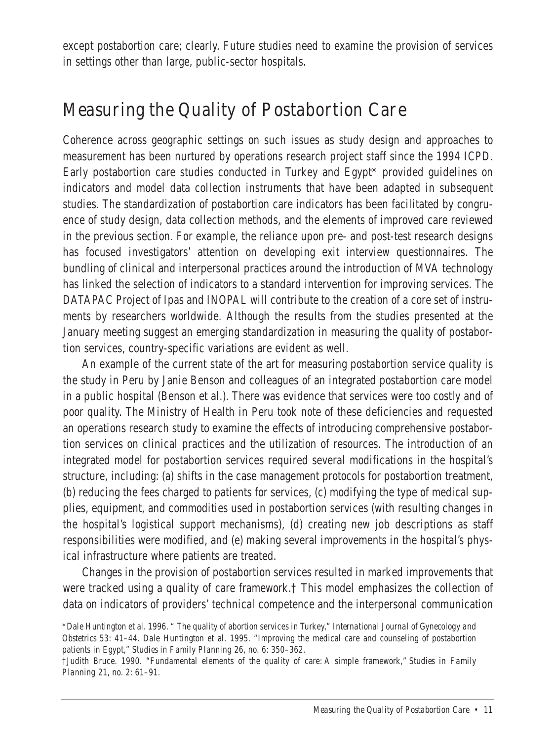except postabortion care; clearly. Future studies need to examine the provision of services in settings other than large, public-sector hospitals.

#### Measuring the Quality of Postabortion Care

Coherence across geographic settings on such issues as study design and approaches to measurement has been nurtured by operations research project staff since the 1994 ICPD. Early postabortion care studies conducted in Turkey and Egypt\* provided guidelines on indicators and model data collection instruments that have been adapted in subsequent studies. The standardization of postabortion care indicators has been facilitated by congruence of study design, data collection methods, and the elements of improved care reviewed. in the previous section. For example, the reliance upon pre- and post-test research designs has focused investigators' attention on developing exit interview questionnaires. The bundling of clinical and interpersonal practices around the introduction of MVA technology has linked the selection of indicators to a standard intervention for improving services. The DATAPAC Project of Ipas and INOPAL will contribute to the creation of a core set of instruments by researchers worldwide. Although the results from the studies presented at the January meeting suggest an emerging standardization in measuring the quality of postabortion services, country-specific variations are evident as well.

An example of the current state of the art for measuring postabortion service quality is the study in Peru by Janie Benson and colleagues of an integrated postabortion care model in a public hospital (Benson et al.). There was evidence that services were too costly and of poor quality. The Ministry of Health in Peru took note of these deficiencies and requested an operations research study to examine the effects of introducing comprehensive postabortion services on clinical practices and the utilization of resources. The introduction of an integrated model for postabortion services required several modifications in the hospital's structure, including: (a) shifts in the case management protocols for postabortion treatment, (b) reducing the fees charged to patients for services, (c) modifying the type of medical supplies, equipment, and commodities used in postabortion services (with resulting changes in the hospital's logistical support mechanisms), (d) creating new job descriptions as staff responsibilities were modified, and (e) making several improvements in the hospital's physical infrastructure where patients are treated.

Changes in the provision of postabortion services resulted in marked improvements that were tracked using a quality of care framework.† This model emphasizes the collection of data on indicators of providers' technical competence and the interpersonal communication

<sup>\*</sup>Dale Huntington et al. 1996. " The quality of abortion services in Turkey," *International Journal of Gynecology and Obstetrics* 53: 41–44. Dale Huntington et al. 1995. "Improving the medical care and counseling of postabortion patients in Egypt," *Studies in Family Planning* 26, no. 6: 350–362.

<sup>†</sup>Judith Bruce. 1990. "Fundamental elements of the quality of care: A simple framework," *Studies in Family Planning* 21, no. 2: 61–91.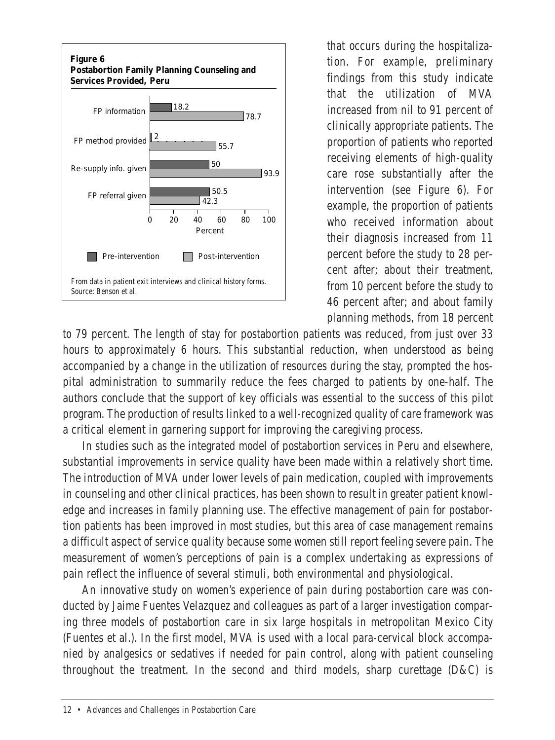

that occurs during the hospitalization. For example, preliminary findings from this study indicate that the utilization of MVA increased from nil to 91 percent of clinically appropriate patients. The proportion of patients who reported receiving elements of high-quality care rose substantially after the intervention (see Figure 6). For example, the proportion of patients who received information about their diagnosis increased from 11 percent before the study to 28 percent after: about their treatment. from 10 percent before the study to 46 percent after; and about family planning methods, from 18 percent

to 79 percent. The length of stay for postabortion patients was reduced, from just over 33 hours to approximately 6 hours. This substantial reduction, when understood as being accompanied by a change in the utilization of resources during the stay, prompted the hospital administration to summarily reduce the fees charged to patients by one-half. The authors conclude that the support of key officials was essential to the success of this pilot program. The production of results linked to a well-recognized quality of care framework was a critical element in garnering support for improving the caregiving process.

In studies such as the integrated model of postabortion services in Peru and elsewhere, substantial improvements in service quality have been made within a relatively short time. The introduction of MVA under lower levels of pain medication, coupled with improvements in counseling and other clinical practices, has been shown to result in greater patient knowledge and increases in family planning use. The effective management of pain for postabortion patients has been improved in most studies, but this area of case management remains a difficult aspect of service quality because some women still report feeling severe pain. The measurement of women's perceptions of pain is a complex undertaking as expressions of pain reflect the influence of several stimuli, both environmental and physiological.

An innovative study on women's experience of pain during postabortion care was conducted by Jaime Fuentes Velazquez and colleagues as part of a larger investigation comparing three models of postabortion care in six large hospitals in metropolitan Mexico City (Fuentes et al.). In the first model, MVA is used with a local para-cervical block accompanied by analgesics or sedatives if needed for pain control, along with patient counseling throughout the treatment. In the second and third models, sharp curettage (D&C) is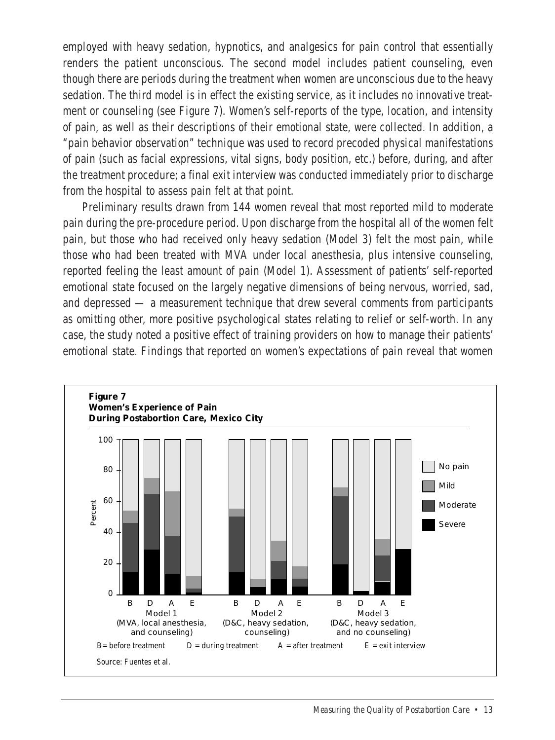employed with heavy sedation, hypnotics, and analgesics for pain control that essentially renders the patient unconscious. The second model includes patient counseling, even though there are periods during the treatment when women are unconscious due to the heavy sedation. The third model is in effect the existing service, as it includes no innovative treatment or counseling (see Figure 7). Women's self-reports of the type, location, and intensity of pain, as well as their descriptions of their emotional state, were collected. In addition, a "pain behavior observation" technique was used to record precoded physical manifestations of pain (such as facial expressions, vital signs, body position, etc.) before, during, and after the treatment procedure; a final exit interview was conducted immediately prior to discharge from the hospital to assess pain felt at that point.

Preliminary results drawn from 144 women reveal that most reported mild to moderate pain during the pre-procedure period. Upon discharge from the hospital all of the women felt pain, but those who had received only heavy sedation (Model 3) felt the most pain, while those who had been treated with MVA under local anesthesia, plus intensive counseling, reported feeling the least amount of pain (Model 1). Assessment of patients' self-reported emotional state focused on the largely negative dimensions of being nervous, worried, sad, and depressed — a measurement technique that drew several comments from participants as omitting other, more positive psychological states relating to relief or self-worth. In any case, the study noted a positive effect of training providers on how to manage their patients' emotional state. Findings that reported on women's expectations of pain reveal that women

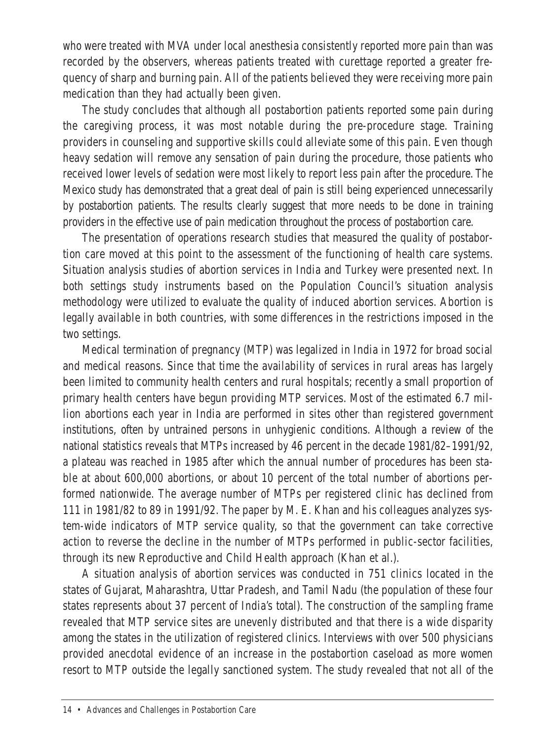who were treated with MVA under local anesthesia consistently reported more pain than was recorded by the observers, whereas patients treated with curettage reported a greater frequency of sharp and burning pain. All of the patients believed they were receiving more pain medication than they had actually been given.

The study concludes that although all postabortion patients reported some pain during the caregiving process, it was most notable during the pre-procedure stage. Training providers in counseling and supportive skills could alleviate some of this pain. Even though heavy sedation will remove any sensation of pain during the procedure, those patients who received lower levels of sedation were most likely to report less pain after the procedure. The Mexico study has demonstrated that a great deal of pain is still being experienced unnecessarily by postabortion patients. The results clearly suggest that more needs to be done in training providers in the effective use of pain medication throughout the process of postabortion care.

The presentation of operations research studies that measured the quality of postabortion care moved at this point to the assessment of the functioning of health care systems. Situation analysis studies of abortion services in India and Turkey were presented next. In both settings study instruments based on the Population Council's situation analysis methodology were utilized to evaluate the quality of induced abortion services. Abortion is legally available in both countries, with some differences in the restrictions imposed in the two settings.

Medical termination of pregnancy (MTP) was legalized in India in 1972 for broad social and medical reasons. Since that time the availability of services in rural areas has largely been limited to community health centers and rural hospitals; recently a small proportion of primary health centers have begun providing MTP services. Most of the estimated 6.7 million abortions each year in India are performed in sites other than registered government institutions, often by untrained persons in unhygienic conditions. Although a review of the national statistics reveals that MTPs increased by 46 percent in the decade 1981/82–1991/92, a plateau was reached in 1985 after which the annual number of procedures has been stable at about 600,000 abortions, or about 10 percent of the total number of abortions performed nationwide. The average number of MTPs per registered clinic has declined from 111 in 1981/82 to 89 in 1991/92. The paper by M. E. Khan and his colleagues analyzes system-wide indicators of MTP service quality, so that the government can take corrective action to reverse the decline in the number of MTPs performed in public-sector facilities, through its new Reproductive and Child Health approach (Khan et al.).

A situation analysis of abortion services was conducted in 751 clinics located in the states of Gujarat, Maharashtra, Uttar Pradesh, and Tamil Nadu (the population of these four states represents about 37 percent of India's total). The construction of the sampling frame revealed that MTP service sites are unevenly distributed and that there is a wide disparity among the states in the utilization of registered clinics. Interviews with over 500 physicians provided anecdotal evidence of an increase in the postabortion caseload as more women resort to MTP outside the legally sanctioned system. The study revealed that not all of the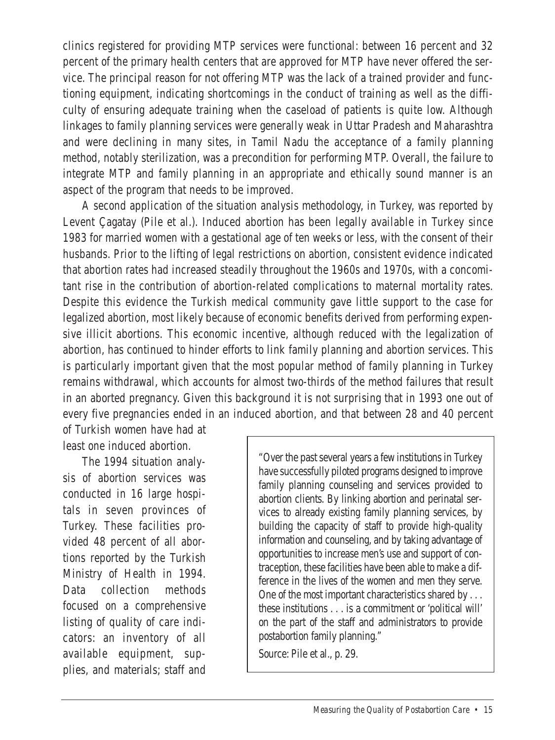clinics registered for providing MTP services were functional: between 16 percent and 32 percent of the primary health centers that are approved for MTP have never offered the ser-.<br>vice. The principal reason for not offering MTP was the lack of a trained provider and functioning equipment, indicating shortcomings in the conduct of training as well as the difficulty of ensuring adequate training when the caseload of patients is quite low. Although linkages to family planning services were generally weak in Uttar Pradesh and Maharashtra and were declining in many sites, in Tamil Nadu the acceptance of a family planning method, notably sterilization, was a precondition for performing MTP. Overall, the failure to integrate MTP and family planning in an appropriate and ethically sound manner is an aspect of the program that needs to be improved.

A second application of the situation analysis methodology, in Turkey, was reported by Levent Çagatay (Pile et al.). Induced abortion has been legally available in Turkey since 1983 for married women with a gestational age of ten weeks or less, with the consent of their husbands. Prior to the lifting of legal restrictions on abortion, consistent evidence indicated that abortion rates had increased steadily throughout the 1960s and 1970s, with a concomitant rise in the contribution of abortion-related complications to maternal mortality rates. Despite this evidence the Turkish medical community gave little support to the case for legalized abortion, most likely because of economic benefits derived from performing expensive illicit abortions. This economic incentive, although reduced with the legalization of abortion, has continued to hinder efforts to link family planning and abortion services. This is particularly important given that the most popular method of family planning in Turkey remains withdrawal, which accounts for almost two-thirds of the method failures that result in an aborted pregnancy. Given this background it is not surprising that in 1993 one out of every five pregnancies ended in an induced abortion, and that between 28 and 40 percent

of Turkish women have had at least one induced abortion.

The 1994 situation analysis of abortion services was conducted in 16 large hospitals in seven provinces of Turkey. These facilities provided 48 percent of all abortions reported by the Turkish Ministry of Health in 1994. Data collection methods focused on a comprehensive listing of quality of care indicators: an inventory of all available equipment, supplies, and materials; staff and "Over the past several years a few institutions in Turkey have successfully piloted programs designed to improve family planning counseling and services provided to abortion clients. By linking abortion and perinatal services to already existing family planning services, by building the capacity of staff to provide high-quality information and counseling, and by taking advantage of opportunities to increase men's use and support of contraception, these facilities have been able to make a difference in the lives of the women and men they serve. One of the most important characteristics shared by . . . these institutions is a commitment or 'political will' on the part of the staff and administrators to provide postabortion family planning."

Source: Pile et al., p. 29.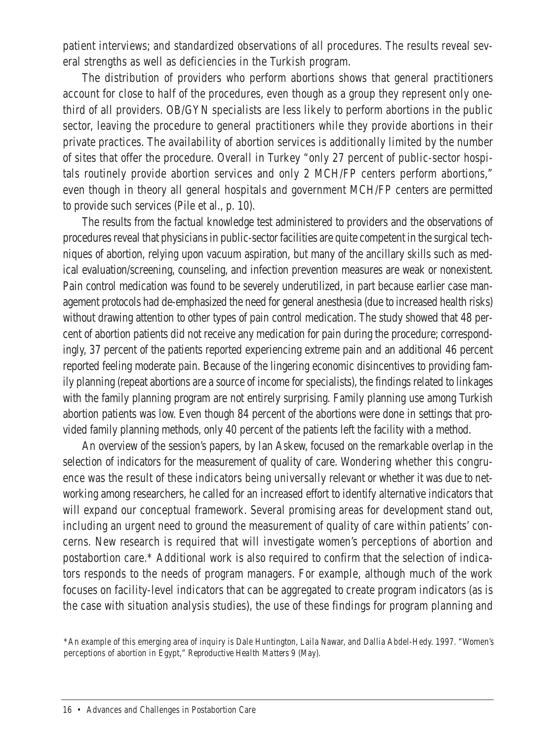patient interviews; and standardized observations of all procedures. The results reveal several strengths as well as deficiencies in the Turkish program.

The distribution of providers who perform abortions shows that general practitioners account for close to half of the procedures, even though as a group they represent only onethird of all providers. OB/GYN specialists are less likely to perform abortions in the public sector, leaving the procedure to general practitioners while they provide abortions in their private practices. The availability of abortion services is additionally limited by the number of sites that offer the procedure. Overall in Turkey "only 27 percent of public-sector hospitals routinely provide abortion services and only 2 MCH/FP centers perform abortions," even though in theory all general hospitals and government MCH/FP centers are permitted to provide such services (Pile et al., p. 10).

The results from the factual knowledge test administered to providers and the observations of procedures reveal that physicians in public-sector facilities are quite competent in the surgical techniques of abortion, relying upon vacuum aspiration, but many of the ancillary skills such as medical evaluation/screening, counseling, and infection prevention measures are weak or nonexistent. Pain control medication was found to be severely underutilized, in part because earlier case management protocols had de-emphasized the need for general anesthesia (due to increased health risks) without drawing attention to other types of pain control medication. The study showed that 48 percent of abortion patients did not receive any medication for pain during the procedure; correspondingly, 37 percent of the patients reported experiencing extreme pain and an additional 46 percent reported feeling moderate pain. Because of the lingering economic disincentives to providing family planning (repeat abortions are a source of income for specialists), the findings related to linkages with the family planning program are not entirely surprising. Family planning use among Turkish abortion patients was low. Even though 84 percent of the abortions were done in settings that provided family planning methods, only 40 percent of the patients left the facility with a method.

An overview of the session's papers, by Ian Askew, focused on the remarkable overlap in the selection of indicators for the measurement of quality of care. Wondering whether this congruence was the result of these indicators being universally relevant or whether it was due to networking among researchers, he called for an increased effort to identify alternative indicators that will expand our conceptual framework. Several promising areas for development stand out, including an urgent need to ground the measurement of quality of care within patients' concerns. New research is required that will investigate women's perceptions of abortion and postabortion care.\* Additional work is also required to confirm that the selection of indicators responds to the needs of program managers. For example, although much of the work focuses on facility-level indicators that can be aggregated to create program indicators (as is the case with situation analysis studies), the use of these findings for program planning and

<sup>\*</sup>An example of this emerging area of inquiry is Dale Huntington, Laila Nawar, and Dallia Abdel-Hedy. 1997. "Women's perceptions of abortion in Egypt," *Reproductive Health Matters* 9 (May).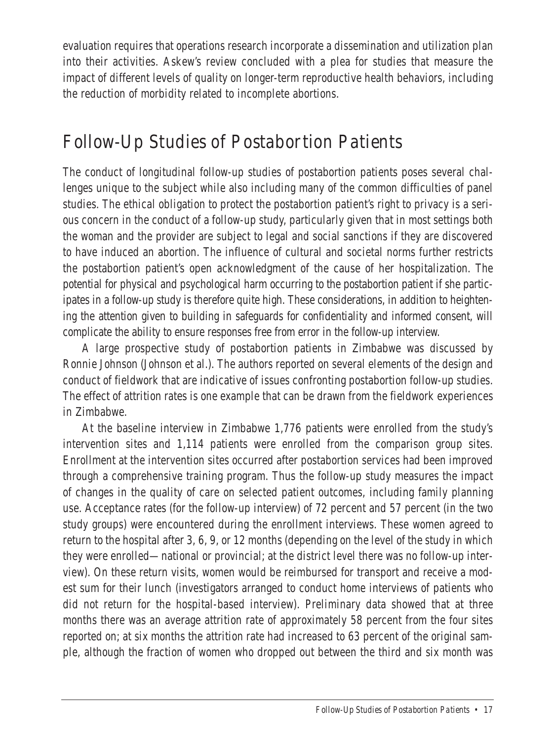evaluation requires that operations research incorporate a dissemination and utilization plan into their activities. Askew's review concluded with a plea for studies that measure the impact of different levels of quality on longer-term reproductive health behaviors, including the reduction of morbidity related to incomplete abortions.

#### Follow-Up Studies of Postabortion Patients

The conduct of longitudinal follow-up studies of postabortion patients poses several challenges unique to the subject while also including many of the common difficulties of panel studies. The ethical obligation to protect the postabortion patient's right to privacy is a serious concern in the conduct of a follow-up study, particularly given that in most settings both the woman and the provider are subject to legal and social sanctions if they are discovered to have induced an abortion. The influence of cultural and societal norms further restricts the postabortion patient's open acknowledgment of the cause of her hospitalization. The potential for physical and psychological harm occurring to the postabortion patient if she participates in a follow-up study is therefore quite high. These considerations, in addition to heightening the attention given to building in safeguards for confidentiality and informed consent, will complicate the ability to ensure responses free from error in the follow-up interview.

A large prospective study of postabortion patients in Zimbabwe was discussed by Ronnie Johnson (Johnson et al.). The authors reported on several elements of the design and conduct of fieldwork that are indicative of issues confronting postabortion follow-up studies. The effect of attrition rates is one example that can be drawn from the fieldwork experiences in Zimbabwe.

At the baseline interview in Zimbabwe 1,776 patients were enrolled from the study's intervention sites and 1,114 patients were enrolled from the comparison group sites. Enrollment at the intervention sites occurred after postabortion services had been improved through a comprehensive training program. Thus the follow-up study measures the impact of changes in the quality of care on selected patient outcomes, including family planning use. Acceptance rates (for the follow-up interview) of 72 percent and 57 percent (in the two study groups) were encountered during the enrollment interviews. These women agreed to return to the hospital after 3, 6, 9, or 12 months (depending on the level of the study in which they were enrolled—national or provincial; at the district level there was no follow-up interview). On these return visits, women would be reimbursed for transport and receive a modest sum for their lunch (investigators arranged to conduct home interviews of patients who did not return for the hospital-based interview). Preliminary data showed that at three months there was an average attrition rate of approximately 58 percent from the four sites reported on; at six months the attrition rate had increased to 63 percent of the original sample, although the fraction of women who dropped out between the third and six month was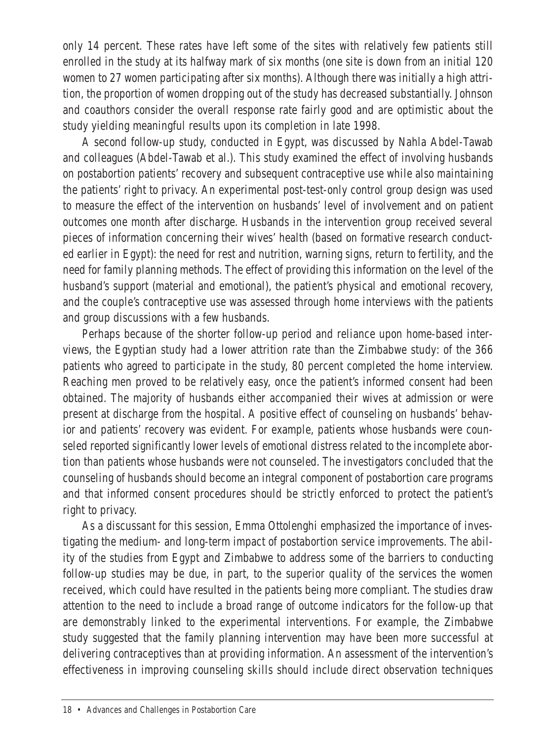only 14 percent. These rates have left some of the sites with relatively few patients still enrolled in the study at its halfway mark of six months (one site is down from an initial 120 women to 27 women participating after six months). Although there was initially a high attrition, the proportion of women dropping out of the study has decreased substantially. Johnson and coauthors consider the overall response rate fairly good and are optimistic about the study yielding meaningful results upon its completion in late 1998.

A second follow-up study, conducted in Egypt, was discussed by Nahla Abdel-Tawab and colleagues (Abdel-Tawab et al.). This study examined the effect of involving husbands on postabortion patients' recovery and subsequent contraceptive use while also maintaining the patients' right to privacy. An experimental post-test-only control group design was used to measure the effect of the intervention on husbands' level of involvement and on patient outcomes one month after discharge. Husbands in the intervention group received several pieces of information concerning their wives' health (based on formative research conducted earlier in Egypt): the need for rest and nutrition, warning signs, return to fertility, and the need for family planning methods. The effect of providing this information on the level of the husband's support (material and emotional), the patient's physical and emotional recovery, and the couple's contraceptive use was assessed through home interviews with the patients and group discussions with a few husbands.

Perhaps because of the shorter follow-up period and reliance upon home-based interviews, the Egyptian study had a lower attrition rate than the Zimbabwe study: of the 366 patients who agreed to participate in the study, 80 percent completed the home interview. Reaching men proved to be relatively easy, once the patient's informed consent had been obtained. The majority of husbands either accompanied their wives at admission or were present at discharge from the hospital. A positive effect of counseling on husbands' behavior and patients' recovery was evident. For example, patients whose husbands were counseled reported significantly lower levels of emotional distress related to the incomplete abortion than patients whose husbands were not counseled. The investigators concluded that the counseling of husbands should become an integral component of postabortion care programs and that informed consent procedures should be strictly enforced to protect the patient's right to privacy.

As a discussant for this session, Emma Ottolenghi emphasized the importance of investigating the medium- and long-term impact of postabortion service improvements. The ability of the studies from Egypt and Zimbabwe to address some of the barriers to conducting follow-up studies may be due, in part, to the superior quality of the services the women received, which could have resulted in the patients being more compliant. The studies draw attention to the need to include a broad range of outcome indicators for the follow-up that are demonstrably linked to the experimental interventions. For example, the Zimbabwe study suggested that the family planning intervention may have been more successful at delivering contraceptives than at providing information. An assessment of the intervention's effectiveness in improving counseling skills should include direct observation techniques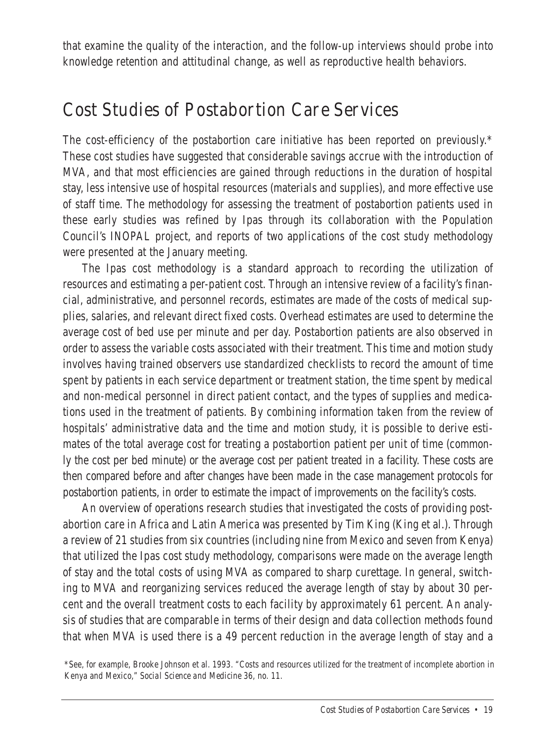that examine the quality of the interaction, and the follow-up interviews should probe into knowledge retention and attitudinal change, as well as reproductive health behaviors.

#### Cost Studies of Postabortion Care Services

The cost-efficiency of the postabortion care initiative has been reported on previously.\* These cost studies have suggested that considerable savings accrue with the introduction of MVA, and that most efficiencies are gained through reductions in the duration of hospital stay, less intensive use of hospital resources (materials and supplies), and more effective use of staff time. The methodology for assessing the treatment of postabortion patients used in these early studies was refined by Ipas through its collaboration with the Population Council's INOPAL project, and reports of two applications of the cost study methodology were presented at the January meeting.

The Ipas cost methodology is a standard approach to recording the utilization of resources and estimating a per-patient cost. Through an intensive review of a facility's financial, administrative, and personnel records, estimates are made of the costs of medical supplies, salaries, and relevant direct fixed costs. Overhead estimates are used to determine the average cost of bed use per minute and per day. Postabortion patients are also observed in order to assess the variable costs associated with their treatment. This time and motion study involves having trained observers use standardized checklists to record the amount of time spent by patients in each service department or treatment station, the time spent by medical and non-medical personnel in direct patient contact, and the types of supplies and medications used in the treatment of patients. By combining information taken from the review of hospitals' administrative data and the time and motion study, it is possible to derive estimates of the total average cost for treating a postabortion patient per unit of time (commonly the cost per bed minute) or the average cost per patient treated in a facility. These costs are then compared before and after changes have been made in the case management protocols for postabortion patients, in order to estimate the impact of improvements on the facility's costs.

An overview of operations research studies that investigated the costs of providing postabortion care in Africa and Latin America was presented by Tim King (King et al.). Through a review of 21 studies from six countries (including nine from Mexico and seven from Kenya) that utilized the Ipas cost study methodology, comparisons were made on the average length of stay and the total costs of using MVA as compared to sharp curettage. In general, switching to MVA and reorganizing services reduced the average length of stay by about 30 percent and the overall treatment costs to each facility by approximately 61 percent. An analysis of studies that are comparable in terms of their design and data collection methods found that when MVA is used there is a 49 percent reduction in the average length of stay and a

<sup>\*</sup>See, for example, Brooke Johnson et al. 1993. "Costs and resources utilized for the treatment of incomplete abortion in Kenya and Mexico," *Social Science and Medicine* 36, no. 11.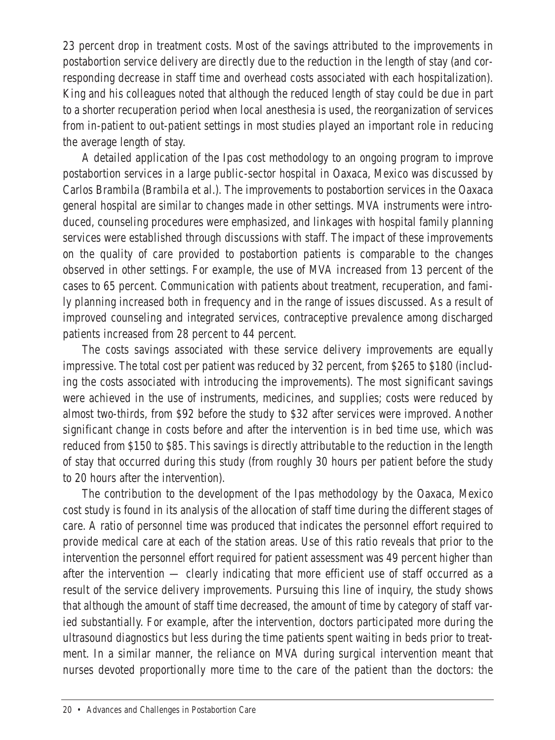23 percent drop in treatment costs. Most of the savings attributed to the improvements in postabortion service delivery are directly due to the reduction in the length of stay (and corresponding decrease in staff time and overhead costs associated with each hospitalization). King and his colleagues noted that although the reduced length of stay could be due in part to a shorter recuperation period when local anesthesia is used, the reorganization of services from in-patient to out-patient settings in most studies played an important role in reducing the average length of stay.

A detailed application of the Ipas cost methodology to an ongoing program to improve postabortion services in a large public-sector hospital in Oaxaca, Mexico was discussed by Carlos Brambila (Brambila et al.). The improvements to postabortion services in the Oaxaca general hospital are similar to changes made in other settings. MVA instruments were introduced, counseling procedures were emphasized, and linkages with hospital family planning services were established through discussions with staff. The impact of these improvements on the quality of care provided to postabortion patients is comparable to the changes observed in other settings. For example, the use of MVA increased from 13 percent of the cases to 65 percent. Communication with patients about treatment, recuperation, and family planning increased both in frequency and in the range of issues discussed. As a result of improved counseling and integrated services, contraceptive prevalence among discharged patients increased from 28 percent to 44 percent.

The costs savings associated with these service delivery improvements are equally impressive. The total cost per patient was reduced by 32 percent, from \$265 to \$180 (including the costs associated with introducing the improvements). The most significant savings were achieved in the use of instruments, medicines, and supplies; costs were reduced by almost two-thirds, from \$92 before the study to \$32 after services were improved. Another significant change in costs before and after the intervention is in bed time use, which was reduced from \$150 to \$85. This savings is directly attributable to the reduction in the length of stay that occurred during this study (from roughly 30 hours per patient before the study to 20 hours after the intervention).

The contribution to the development of the Ipas methodology by the Oaxaca, Mexico cost study is found in its analysis of the allocation of staff time during the different stages of care. A ratio of personnel time was produced that indicates the personnel effort required to provide medical care at each of the station areas. Use of this ratio reveals that prior to the intervention the personnel effort required for patient assessment was 49 percent higher than after the intervention — clearly indicating that more efficient use of staff occurred as a result of the service delivery improvements. Pursuing this line of inquiry, the study shows that although the amount of staff time decreased, the amount of time by category of staff varied substantially. For example, after the intervention, doctors participated more during the ultrasound diagnostics but less during the time patients spent waiting in beds prior to treatment. In a similar manner, the reliance on MVA during surgical intervention meant that nurses devoted proportionally more time to the care of the patient than the doctors: the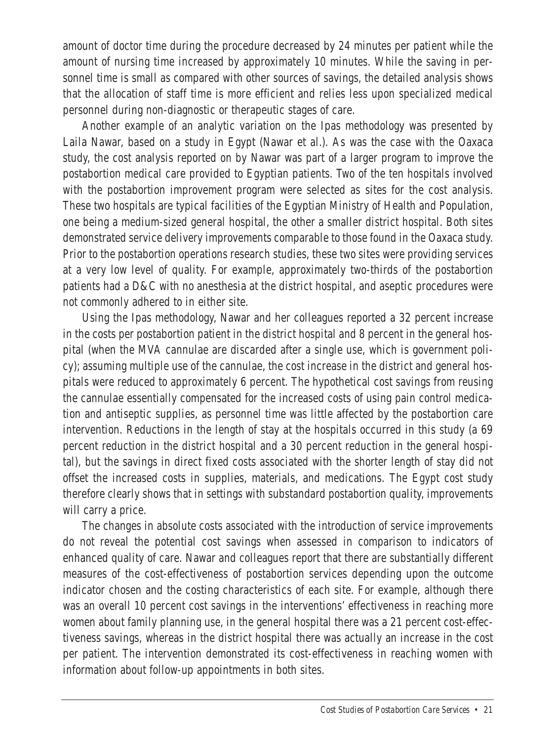amount of doctor time during the procedure decreased by 24 minutes per patient while the amount of nursing time increased by approximately 10 minutes. While the saving in personnel time is small as compared with other sources of savings, the detailed analysis shows that the allocation of staff time is more efficient and relies less upon specialized medical personnel during non-diagnostic or therapeutic stages of care.

Another example of an analytic variation on the Ipas methodology was presented by Laila Nawar, based on a study in Egypt (Nawar et al.). As was the case with the Oaxaca study, the cost analysis reported on by Nawar was part of a larger program to improve the postabortion medical care provided to Egyptian patients. Two of the ten hospitals involved with the postabortion improvement program were selected as sites for the cost analysis. These two hospitals are typical facilities of the Egyptian Ministry of Health and Population, one being a medium-sized general hospital, the other a smaller district hospital. Both sites demonstrated service delivery improvements comparable to those found in the Oaxaca study. Prior to the postabortion operations research studies, these two sites were providing services at a very low level of quality. For example, approximately two-thirds of the postabortion patients had a D&C with no anesthesia at the district hospital, and aseptic procedures were not commonly adhered to in either site.

Using the Ipas methodology, Nawar and her colleagues reported a 32 percent increase in the costs per postabortion patient in the district hospital and 8 percent in the general hospital (when the MVA cannulae are discarded after a single use, which is government policy); assuming multiple use of the cannulae, the cost increase in the district and general hospitals were reduced to approximately 6 percent. The hypothetical cost savings from reusing the cannulae essentially compensated for the increased costs of using pain control medication and antiseptic supplies, as personnel time was little affected by the postabortion care intervention. Reductions in the length of stay at the hospitals occurred in this study (a 69 percent reduction in the district hospital and a 30 percent reduction in the general hospital), but the savings in direct fixed costs associated with the shorter length of stay did not offset the increased costs in supplies, materials, and medications. The Egypt cost study therefore clearly shows that in settings with substandard postabortion quality, improvements will carry a price.

The changes in absolute costs associated with the introduction of service improvements do not reveal the potential cost savings when assessed in comparison to indicators of enhanced quality of care. Nawar and colleagues report that there are substantially different measures of the cost-effectiveness of postabortion services depending upon the outcome indicator chosen and the costing characteristics of each site. For example, although there was an overall 10 percent cost savings in the interventions' effectiveness in reaching more women about family planning use, in the general hospital there was a 21 percent cost-effectiveness savings, whereas in the district hospital there was actually an increase in the cost per patient. The intervention demonstrated its cost-effectiveness in reaching women with information about follow-up appointments in both sites.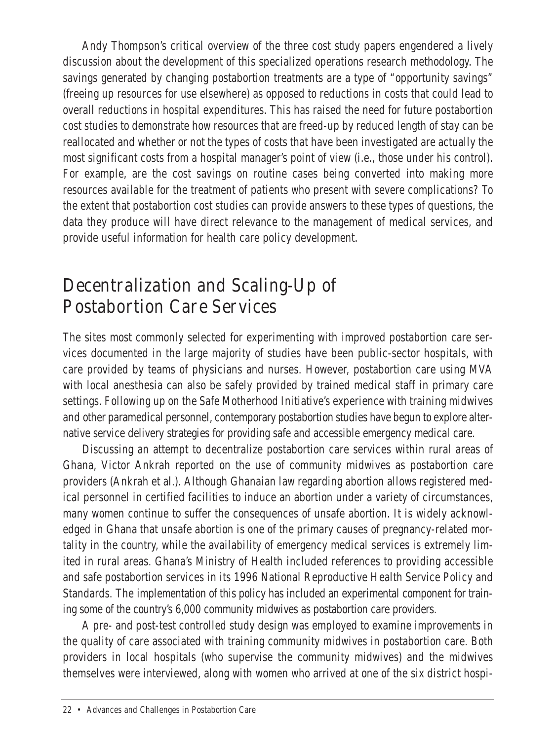Andy Thompson's critical overview of the three cost study papers engendered a lively discussion about the development of this specialized operations research methodology. The savings generated by changing postabortion treatments are a type of "opportunity savings" (freeing up resources for use elsewhere) as opposed to reductions in costs that could lead to overall reductions in hospital expenditures. This has raised the need for future postabortion cost studies to demonstrate how resources that are freed-up by reduced length of stay can be reallocated and whether or not the types of costs that have been investigated are actually the most significant costs from a hospital manager's point of view (i.e., those under his control). For example, are the cost savings on routine cases being converted into making more resources available for the treatment of patients who present with severe complications? To the extent that postabortion cost studies can provide answers to these types of questions, the data they produce will have direct relevance to the management of medical services, and provide useful information for health care policy development.

#### Decentralization and Scaling-Up of Postabortion Care Services

The sites most commonly selected for experimenting with improved postabortion care services documented in the large majority of studies have been public-sector hospitals, with care provided by teams of physicians and nurses. However, postabortion care using MVA with local anesthesia can also be safely provided by trained medical staff in primary care settings. Following up on the Safe Motherhood Initiative's experience with training midwives and other paramedical personnel, contemporary postabortion studies have begun to explore alternative service delivery strategies for providing safe and accessible emergency medical care.

Discussing an attempt to decentralize postabortion care services within rural areas of Ghana, Victor Ankrah reported on the use of community midwives as postabortion care providers (Ankrah et al.). Although Ghanaian law regarding abortion allows registered medical personnel in certified facilities to induce an abortion under a variety of circumstances, many women continue to suffer the consequences of unsafe abortion. It is widely acknowledged in Ghana that unsafe abortion is one of the primary causes of pregnancy-related mortality in the country, while the availability of emergency medical services is extremely limited in rural areas. Ghana's Ministry of Health included references to providing accessible and safe postabortion services in its 1996 National Reproductive Health Service Policy and Standards. The implementation of this policy has included an experimental component for training some of the country's 6,000 community midwives as postabortion care providers.

A pre- and post-test controlled study design was employed to examine improvements in the quality of care associated with training community midwives in postabortion care. Both providers in local hospitals (who supervise the community midwives) and the midwives themselves were interviewed, along with women who arrived at one of the six district hospi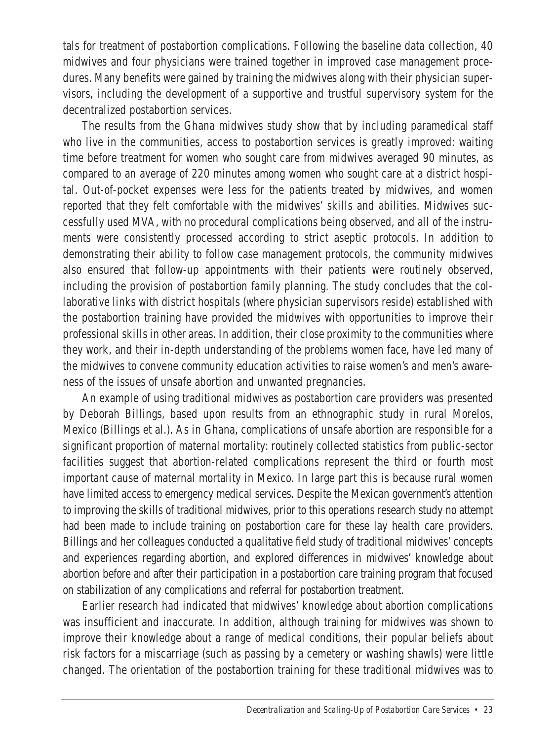tals for treatment of postabortion complications. Following the baseline data collection, 40 midwives and four physicians were trained together in improved case management procedures. Many benefits were gained by training the midwives along with their physician supervisors, including the development of a supportive and trustful supervisory system for the decentralized postabortion services.

The results from the Ghana midwives study show that by including paramedical staff who live in the communities, access to postabortion services is greatly improved: waiting time before treatment for women who sought care from midwives averaged 90 minutes, as compared to an average of 220 minutes among women who sought care at a district hospital. Out-of-pocket expenses were less for the patients treated by midwives, and women reported that they felt comfortable with the midwives' skills and abilities. Midwives successfully used MVA, with no procedural complications being observed, and all of the instruments were consistently processed according to strict aseptic protocols. In addition to demonstrating their ability to follow case management protocols, the community midwives also ensured that follow-up appointments with their patients were routinely observed, including the provision of postabortion family planning. The study concludes that the collaborative links with district hospitals (where physician supervisors reside) established with the postabortion training have provided the midwives with opportunities to improve their professional skills in other areas. In addition, their close proximity to the communities where they work, and their in-depth understanding of the problems women face, have led many of the midwives to convene community education activities to raise women's and men's awareness of the issues of unsafe abortion and unwanted pregnancies.

An example of using traditional midwives as postabortion care providers was presented by Deborah Billings, based upon results from an ethnographic study in rural Morelos, Mexico (Billings et al.). As in Ghana, complications of unsafe abortion are responsible for a significant proportion of maternal mortality: routinely collected statistics from public-sector facilities suggest that abortion-related complications represent the third or fourth most important cause of maternal mortality in Mexico. In large part this is because rural women have limited access to emergency medical services. Despite the Mexican government's attention to improving the skills of traditional midwives, prior to this operations research study no attempt had been made to include training on postabortion care for these lay health care providers. Billings and her colleagues conducted a qualitative field study of traditional midwives' concepts and experiences regarding abortion, and explored differences in midwives' knowledge about abortion before and after their participation in a postabortion care training program that focused on stabilization of any complications and referral for postabortion treatment.

Earlier research had indicated that midwives' knowledge about abortion complications was insufficient and inaccurate. In addition, although training for midwives was shown to improve their knowledge about a range of medical conditions, their popular beliefs about risk factors for a miscarriage (such as passing by a cemetery or washing shawls) were little changed. The orientation of the postabortion training for these traditional midwives was to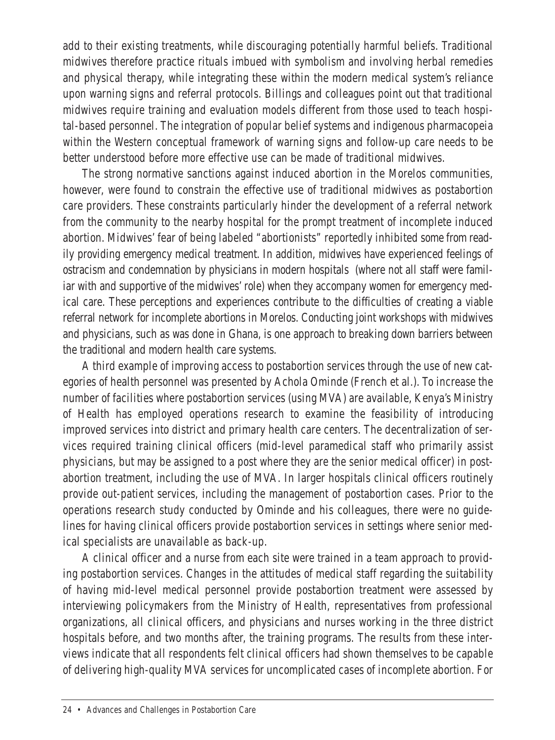add to their evisting treatments, while discouraging potentially harmful beliefs. Traditional midwives therefore practice rituals imbued with symbolism and involving herbal remedies and physical therapy, while integrating these within the modern medical system's reliance upon warning signs and referral protocols. Billings and colleagues point out that traditional midwives require training and evaluation models different from those used to teach hospital-based personnel. The integration of popular belief systems and indigenous pharmacopeia within the Western conceptual framework of warning signs and follow-up care needs to be better understood before more effective use can be made of traditional midwives.

The strong normative sanctions against induced abortion in the Morelos communities, however, were found to constrain the effective use of traditional midwives as postabortion care providers. These constraints particularly hinder the development of a referral network from the community to the nearby hospital for the prompt treatment of incomplete induced abortion. Midwives' fear of being labeled "abortionists" reportedly inhibited some from readily providing emergency medical treatment. In addition, midwives have experienced feelings of ostracism and condemnation by physicians in modern hospitals (where not all staff were familiar with and supportive of the midwives' role) when they accompany women for emergency medical care. These perceptions and experiences contribute to the difficulties of creating a viable referral network for incomplete abortions in Morelos. Conducting joint workshops with midwives and physicians, such as was done in Ghana, is one approach to breaking down barriers between the traditional and modern health care systems.

A third example of improving access to postabortion services through the use of new categories of health personnel was presented by Achola Ominde (French et al.). To increase the number of facilities where postabortion services (using MVA) are available, Kenya's Ministry of Health has employed operations research to examine the feasibility of introducing improved services into district and primary health care centers. The decentralization of services required training clinical officers (mid-level paramedical staff who primarily assist physicians, but may be assigned to a post where they are the senior medical officer) in postabortion treatment, including the use of MVA. In larger hospitals clinical officers routinely provide out-patient services, including the management of postabortion cases. Prior to the operations research study conducted by Ominde and his colleagues, there were no guidelines for having clinical officers provide postabortion services in settings where senior medical specialists are unavailable as back-up.

A clinical officer and a nurse from each site were trained in a team approach to providing postabortion services. Changes in the attitudes of medical staff regarding the suitability of having mid-level medical personnel provide postabortion treatment were assessed by interviewing policymakers from the Ministry of Health, representatives from professional organizations, all clinical officers, and physicians and nurses working in the three district hospitals before, and two months after, the training programs. The results from these interviews indicate that all respondents felt clinical officers had shown themselves to be capable of delivering high-quality MVA services for uncomplicated cases of incomplete abortion. For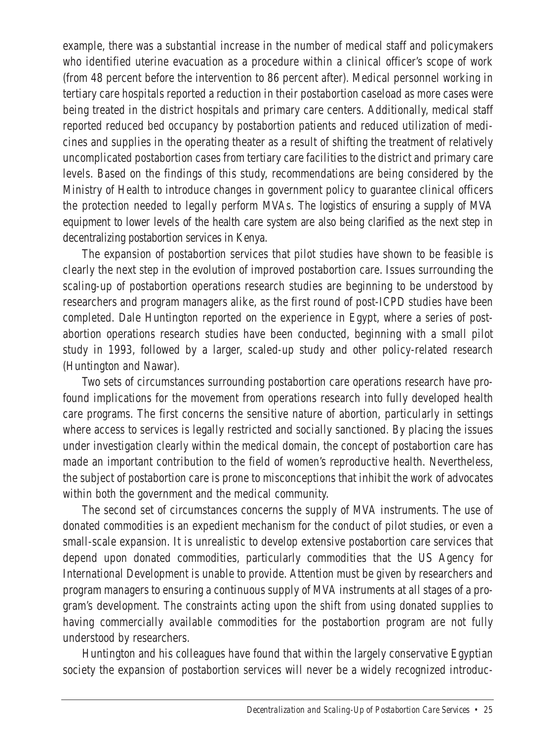example, there was a substantial increase in the number of medical staff and policymakers who identified uterine evacuation as a procedure within a clinical officer's scope of work (from 48 percent before the intervention to 86 percent after). Medical personnel working in tertiary care hospitals reported a reduction in their postabortion caseload as more cases were being treated in the district hospitals and primary care centers. Additionally, medical staff reported reduced bed occupancy by postabortion patients and reduced utilization of medicines and supplies in the operating theater as a result of shifting the treatment of relatively uncomplicated postabortion cases from tertiary care facilities to the district and primary care levels. Based on the findings of this study, recommendations are being considered by the Ministry of Health to introduce changes in government policy to guarantee clinical officers the protection needed to legally perform MVAs. The logistics of ensuring a supply of MVA equipment to lower levels of the health care system are also being clarified as the next step in decentralizing postabortion services in Kenya.

The expansion of postabortion services that pilot studies have shown to be feasible is clearly the next step in the evolution of improved postabortion care. Issues surrounding the scaling-up of postabortion operations research studies are beginning to be understood by researchers and program managers alike, as the first round of post-ICPD studies have been completed. Dale Huntington reported on the experience in Egypt, where a series of postabortion operations research studies have been conducted, beginning with a small pilot study in 1993, followed by a larger, scaled-up study and other policy-related research (Huntington and Nawar).

Two sets of circumstances surrounding postabortion care operations research have profound implications for the movement from operations research into fully developed health care programs. The first concerns the sensitive nature of abortion, particularly in settings where access to services is legally restricted and socially sanctioned. By placing the issues under investigation clearly within the medical domain, the concept of postabortion care has made an important contribution to the field of women's reproductive health. Nevertheless, the subject of postabortion care is prone to misconceptions that inhibit the work of advocates within both the government and the medical community.

The second set of circumstances concerns the supply of MVA instruments. The use of donated commodities is an expedient mechanism for the conduct of pilot studies, or even a small-scale expansion. It is unrealistic to develop extensive postabortion care services that depend upon donated commodities, particularly commodities that the US Agency for International Development is unable to provide. Attention must be given by researchers and program managers to ensuring a continuous supply of MVA instruments at all stages of a program's development. The constraints acting upon the shift from using donated supplies to having commercially available commodities for the postabortion program are not fully understood by researchers.

Huntington and his colleagues have found that within the largely conservative Egyptian society the expansion of postabortion services will never be a widely recognized introduc-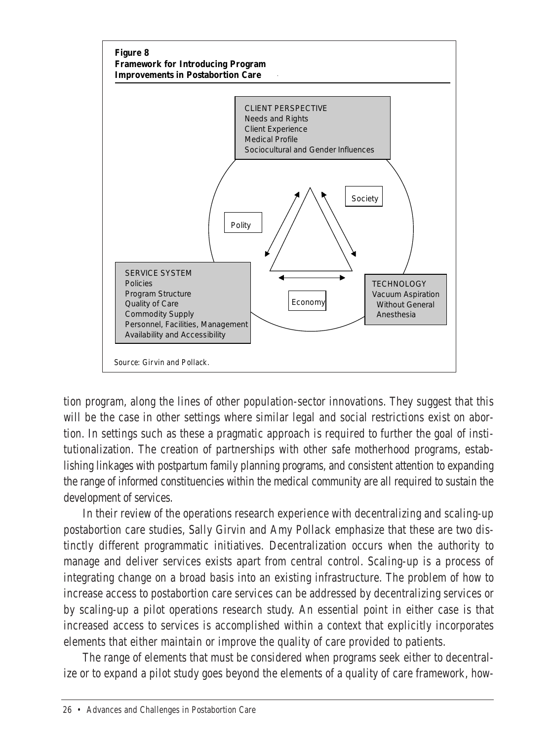

tion program, along the lines of other population-sector innovations. They suggest that this will be the case in other settings where similar legal and social restrictions exist on abortion. In settings such as these a pragmatic approach is required to further the goal of institutionalization. The creation of partnerships with other safe motherhood programs, establishing linkages with postpartum family planning programs, and consistent attention to expanding the range of informed constituencies within the medical community are all required to sustain the development of services.

In their review of the operations research experience with decentralizing and scaling-up postabortion care studies, Sally Girvin and Amy Pollack emphasize that these are two distinctly different programmatic initiatives. Decentralization occurs when the authority to manage and deliver services exists apart from central control. Scaling-up is a process of integrating change on a broad basis into an existing infrastructure. The problem of how to increase access to postabortion care services can be addressed by decentralizing services or by scaling-up a pilot operations research study. An essential point in either case is that increased access to services is accomplished within a context that explicitly incorporates elements that either maintain or improve the quality of care provided to patients.

The range of elements that must be considered when programs seek either to decentralize or to expand a pilot study goes beyond the elements of a quality of care framework, how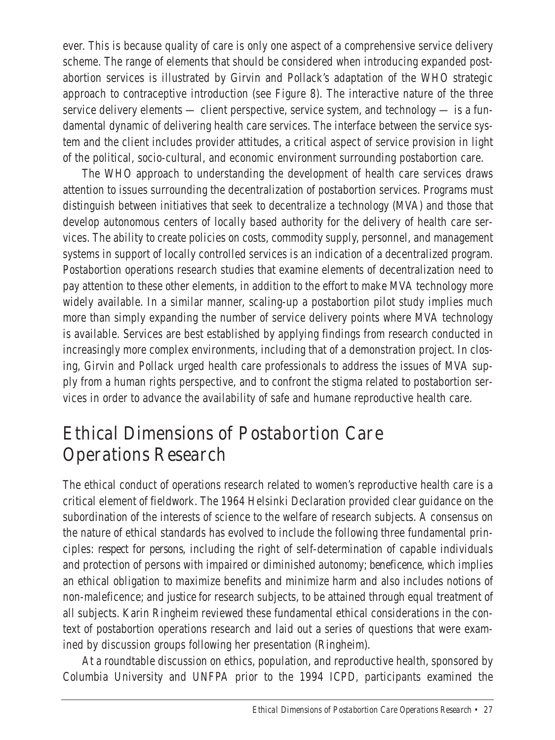ever. This is because quality of care is only one aspect of a comprehensive service delivery scheme. The range of elements that should be considered when introducing expanded postabortion services is illustrated by Girvin and Pollack's adaptation of the WHO strategic approach to contraceptive introduction (see Figure 8). The interactive nature of the three service delivery elements — client perspective, service system, and technology — is a fundamental dynamic of delivering health care services. The interface between the service system and the client includes provider attitudes, a critical aspect of service provision in light of the political, socio-cultural, and economic environment surrounding postabortion care.

The WHO approach to understanding the development of health care services draws attention to issues surrounding the decentralization of postabortion services. Programs must distinguish between initiatives that seek to decentralize a technology (MVA) and those that develop autonomous centers of locally based authority for the delivery of health care services. The ability to create policies on costs, commodity supply, personnel, and management systems in support of locally controlled services is an indication of a decentralized program. Postabortion operations research studies that examine elements of decentralization need to pay attention to these other elements, in addition to the effort to make MVA technology more widely available. In a similar manner, scaling-up a postabortion pilot study implies much more than simply expanding the number of service delivery points where MVA technology is available. Services are best established by applying findings from research conducted in increasingly more complex environments, including that of a demonstration project. In closing, Girvin and Pollack urged health care professionals to address the issues of MVA supply from a human rights perspective, and to confront the stigma related to postabortion services in order to advance the availability of safe and humane reproductive health care.

#### Ethical Dimensions of Postabortion Care Operations Research

The ethical conduct of operations research related to women's reproductive health care is a critical element of fieldwork. The 1964 Helsinki Declaration provided clear guidance on the subordination of the interests of science to the welfare of research subjects. A consensus on the nature of ethical standards has evolved to include the following three fundamental principles: *respect for persons*, including the right of self-determination of capable individuals and protection of persons with impaired or diminished autonomy; *beneficence*, which implies an ethical obligation to maximize benefits and minimize harm and also includes notions of non-maleficence; and *justice* for research subjects, to be attained through equal treatment of all subjects. Karin Ringheim reviewed these fundamental ethical considerations in the context of postabortion operations research and laid out a series of questions that were examined by discussion groups following her presentation (Ringheim).

At a roundtable discussion on ethics, population, and reproductive health, sponsored by Columbia University and UNFPA prior to the 1994 ICPD, participants examined the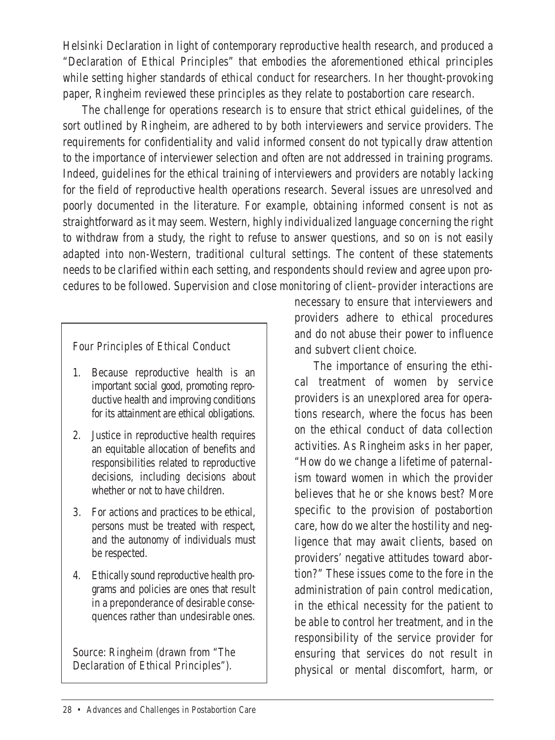Helsinki Declaration in light of contemporary reproductive health research, and produced a "Declaration of Ethical Principles" that embodies the aforementioned ethical principles while setting higher standards of ethical conduct for researchers. In her thought-provoking paper, Ringheim reviewed these principles as they relate to postabortion care research.

The challenge for operations research is to ensure that strict ethical guidelines, of the sort outlined by Ringheim, are adhered to by both interviewers and service providers. The requirements for confidentiality and valid informed consent do not typically draw attention to the importance of interviewer selection and often are not addressed in training programs. Indeed, guidelines for the ethical training of interviewers and providers are notably lacking for the field of reproductive health operations research. Several issues are unresolved and poorly documented in the literature. For example, obtaining informed consent is not as straightforward as it may seem. Western, highly individualized language concerning the right to withdraw from a study, the right to refuse to answer questions, and so on is not easily adapted into non-Western, traditional cultural settings. The content of these statements needs to be clarified within each setting, and respondents should review and agree upon procedures to be followed. Supervision and close monitoring of client–provider interactions are

Four Principles of Ethical Conduct

- 1. Because reproductive health is an important social good, promoting reproductive health and improving conditions for its attainment are ethical obligations.
- 2. Justice in reproductive health requires an equitable allocation of benefits and responsibilities related to reproductive decisions, including decisions about whether or not to have children.
- 3. For actions and practices to be ethical, persons must be treated with respect, and the autonomy of individuals must be respected.
- 4. Ethically sound reproductive health programs and policies are ones that result in a preponderance of desirable consequences rather than undesirable ones.

Source: Ringheim (drawn from "The Declaration of Ethical Principles").

necessary to ensure that interviewers and providers adhere to ethical procedures and do not abuse their power to influence and subvert client choice.

The importance of ensuring the ethical treatment of women by service providers is an unexplored area for operations research, where the focus has been on the ethical conduct of data collection activities. As Ringheim asks in her paper, "How do we change a lifetime of paternalism toward women in which the provider believes that he or she knows best? More specific to the provision of postabortion care, how do we alter the hostility and negligence that may await clients, based on providers' negative attitudes toward abortion?" These issues come to the fore in the administration of pain control medication, in the ethical necessity for the patient to be able to control her treatment, and in the responsibility of the service provider for ensuring that services do not result in physical or mental discomfort, harm, or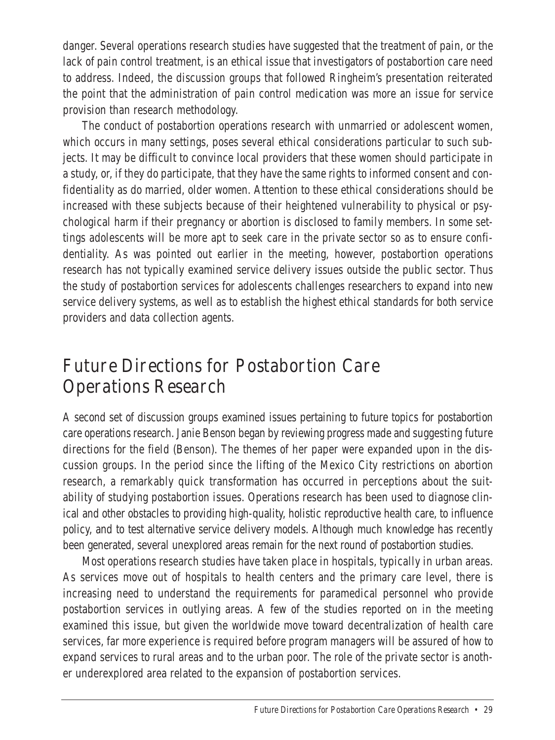danger. Several operations research studies have suggested that the treatment of pain, or the lack of pain control treatment, is an ethical issue that investigators of postabortion care need to address. Indeed, the discussion groups that followed Ringheim's presentation reiterated the point that the administration of pain control medication was more an issue for service provision than research methodology.

The conduct of postabortion operations research with unmarried or adolescent women, which occurs in many settings, poses several ethical considerations particular to such subjects. It may be difficult to convince local providers that these women should participate in a study, or, if they do participate, that they have the same rights to informed consent and confidentiality as do married, older women. Attention to these ethical considerations should be increased with these subjects because of their heightened vulnerability to physical or psychological harm if their pregnancy or abortion is disclosed to family members. In some settings adolescents will be more ant to seek care in the private sector so as to ensure confidentiality. As was pointed out earlier in the meeting, however, postabortion operations research has not typically examined service delivery issues outside the public sector. Thus the study of postabortion services for adolescents challenges researchers to expand into new service delivery systems, as well as to establish the highest ethical standards for both service providers and data collection agents.

#### Future Directions for Postabortion Care Operations Research

A second set of discussion groups examined issues pertaining to future topics for postabortion care operations research. Janie Benson began by reviewing progress made and suggesting future directions for the field (Benson). The themes of her paper were expanded upon in the discussion groups. In the period since the lifting of the Mexico City restrictions on abortion research, a remarkably quick transformation has occurred in perceptions about the suitability of studying postabortion issues. Operations research has been used to diagnose clinical and other obstacles to providing high-quality, holistic reproductive health care, to influence policy, and to test alternative service delivery models. Although much knowledge has recently been generated, several unexplored areas remain for the next round of postabortion studies.

Most operations research studies have taken place in hospitals, typically in urban areas. As services move out of hospitals to health centers and the primary care level, there is increasing need to understand the requirements for paramedical personnel who provide postabortion services in outlying areas. A few of the studies reported on in the meeting examined this issue, but given the worldwide move toward decentralization of health care services, far more experience is required before program managers will be assured of how to expand services to rural areas and to the urban poor. The role of the private sector is another underexplored area related to the expansion of postabortion services.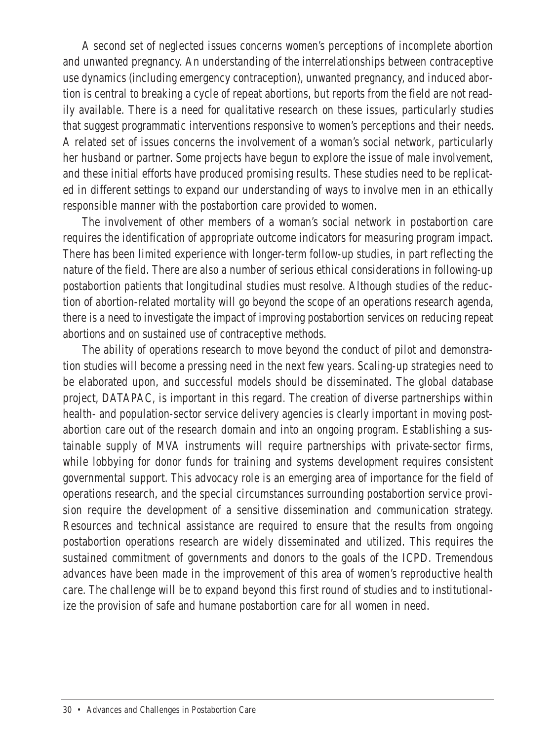A second set of neglected issues concerns women's perceptions of incomplete abortion and unwanted pregnancy. An understanding of the interrelationships between contraceptive use dynamics (including emergency contraception), unwanted pregnancy, and induced abortion is central to breaking a cycle of repeat abortions, but reports from the field are not readily available. There is a need for qualitative research on these issues, particularly studies that suggest programmatic interventions responsive to women's perceptions and their needs. A related set of issues concerns the involvement of a woman's social network, particularly her husband or partner. Some projects have begun to explore the issue of male involvement, and these initial efforts have produced promising results. These studies need to be replicated in different settings to expand our understanding of ways to involve men in an ethically responsible manner with the postabortion care provided to women.

The involvement of other members of a woman's social network in postabortion care requires the identification of appropriate outcome indicators for measuring program impact. There has been limited experience with longer-term follow-up studies, in part reflecting the nature of the field. There are also a number of serious ethical considerations in following-up postabortion patients that longitudinal studies must resolve. Although studies of the reduction of abortion-related mortality will go beyond the scope of an operations research agenda, there is a need to investigate the impact of improving postabortion services on reducing repeat abortions and on sustained use of contraceptive methods.

The ability of operations research to move beyond the conduct of pilot and demonstration studies will become a pressing need in the next few years. Scaling-up strategies need to be elaborated upon, and successful models should be disseminated. The global database project, DATAPAC, is important in this regard. The creation of diverse partnerships within health- and population-sector service delivery agencies is clearly important in moving postabortion care out of the research domain and into an ongoing program. Establishing a sustainable supply of MVA instruments will require partnerships with private-sector firms, while lobbying for donor funds for training and systems development requires consistent governmental support. This advocacy role is an emerging area of importance for the field of operations research, and the special circumstances surrounding postabortion service provision require the development of a sensitive dissemination and communication strategy. Resources and technical assistance are required to ensure that the results from ongoing postabortion operations research are widely disseminated and utilized. This requires the sustained commitment of governments and donors to the goals of the ICPD. Tremendous advances have been made in the improvement of this area of women's reproductive health care. The challenge will be to expand beyond this first round of studies and to institutionalize the provision of safe and humane postabortion care for all women in need.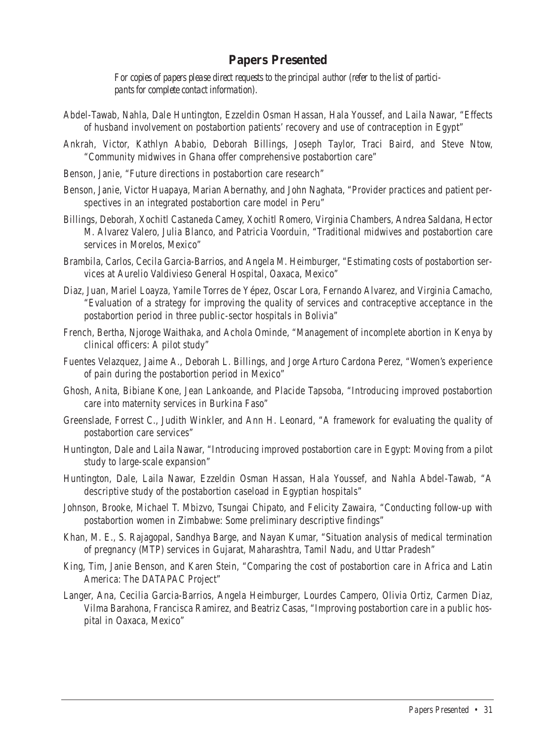#### **Papers Presented**

*For copies of papers please direct requests to the principal author (refer to the list of participants for complete contact information).*

- Abdel-Tawab, Nahla, Dale Huntington, Ezzeldin Osman Hassan, Hala Youssef, and Laila Nawar, "Effects of husband involvement on postabortion patients' recovery and use of contraception in Egypt"
- Ankrah, Victor, Kathlyn Ababio, Deborah Billings, Joseph Taylor, Traci Baird, and Steve Ntow, "Community midwives in Ghana offer comprehensive postabortion care"
- Benson, Janie, "Future directions in postabortion care research"
- Benson, Janie, Victor Huapaya, Marian Abernathy, and John Naghata, "Provider practices and patient perspectives in an integrated postabortion care model in Peru"
- Billings, Deborah, Xochitl Castaneda Camey, Xochitl Romero, Virginia Chambers, Andrea Saldana, Hector M. Alvarez Valero, Julia Blanco, and Patricia Voorduin, "Traditional midwives and postabortion care services in Morelos, Mexico"
- Brambila, Carlos, Cecila Garcia-Barrios, and Angela M. Heimburger, "Estimating costs of postabortion services at Aurelio Valdivieso General Hospital, Oaxaca, Mexico"
- Diaz, Juan, Mariel Loayza, Yamile Torres de Yépez, Oscar Lora, Fernando Alvarez, and Virginia Camacho, "Evaluation of a strategy for improving the quality of services and contraceptive acceptance in the postabortion period in three public-sector hospitals in Bolivia"
- French, Bertha, Njoroge Waithaka, and Achola Ominde, "Management of incomplete abortion in Kenya by clinical officers: A pilot study"
- Fuentes Velazquez, Jaime A., Deborah L. Billings, and Jorge Arturo Cardona Perez, "Women's experience of pain during the postabortion period in Mexico"
- Ghosh, Anita, Bibiane Kone, Jean Lankoande, and Placide Tapsoba, "Introducing improved postabortion care into maternity services in Burkina Faso"
- Greenslade, Forrest C., Judith Winkler, and Ann H. Leonard, "A framework for evaluating the quality of postabortion care services"
- Huntington, Dale and Laila Nawar, "Introducing improved postabortion care in Egypt: Moving from a pilot study to large-scale expansion"
- Huntington, Dale, Laila Nawar, Ezzeldin Osman Hassan, Hala Youssef, and Nahla Abdel-Tawab, "A descriptive study of the postabortion caseload in Egyptian hospitals"
- Johnson, Brooke, Michael T. Mbizvo, Tsungai Chipato, and Felicity Zawaira, "Conducting follow-up with postabortion women in Zimbabwe: Some preliminary descriptive findings"
- Khan, M. E., S. Rajagopal, Sandhya Barge, and Nayan Kumar, "Situation analysis of medical termination of pregnancy (MTP) services in Gujarat, Maharashtra, Tamil Nadu, and Uttar Pradesh"
- King, Tim, Janie Benson, and Karen Stein, "Comparing the cost of postabortion care in Africa and Latin America: The DATAPAC Project"
- Langer, Ana, Cecilia Garcia-Barrios, Angela Heimburger, Lourdes Campero, Olivia Ortiz, Carmen Diaz, Vilma Barahona, Francisca Ramirez, and Beatriz Casas, "Improving postabortion care in a public hospital in Oaxaca, Mexico"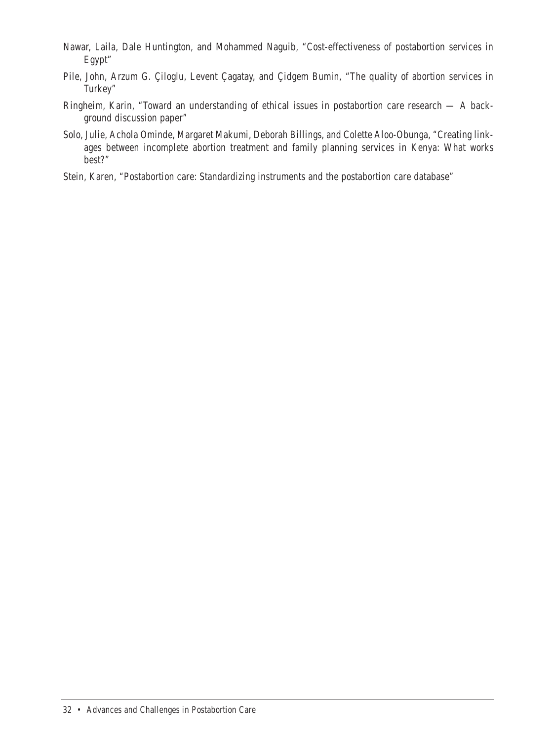- Nawar, Laila, Dale Huntington, and Mohammed Naguib, "Cost-effectiveness of postabortion services in Egypt"
- Pile, John, Arzum G. Çiloglu, Levent Çagatay, and Çidgem Bumin, "The quality of abortion services in Turkey"
- Ringheim, Karin, "Toward an understanding of ethical issues in postabortion care research A background discussion paper"
- Solo, Julie, Achola Ominde, Margaret Makumi, Deborah Billings, and Colette Aloo-Obunga, "Creating linkages between incomplete abortion treatment and family planning services in Kenya: What works best?"
- Stein, Karen, "Postabortion care: Standardizing instruments and the postabortion care database"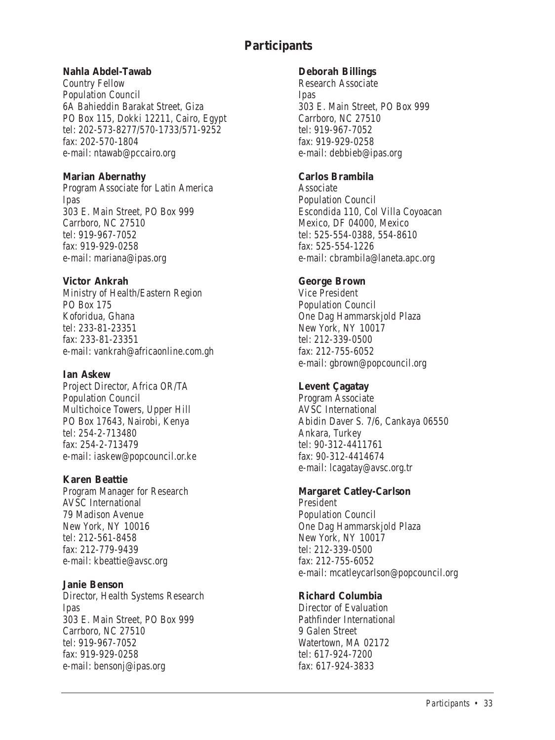#### **Participants**

#### **Nahla Abdel-Tawab**

Country Fellow Population Council 6A Bahieddin Barakat Street, Giza PO Box 115, Dokki 12211, Cairo, Egypt tel: 202-573-8277/570-1733/571-9252 fax: 202-570-1804 e-mail: ntawab@pccairo.org

#### **Marian Abernathy**

Program Associate for Latin America Ipas 303 E. Main Street, PO Box 999 Cambono, NC 27510 tel: 919-967-7052 fax: 919-929-0258 e-mail: mariana@ipas.org

#### **Victor Ankrah**

Ministry of Health/Eastern Region PO Box 175 Koforidua, Ghana tel: 222-81-22251 fax: 233-81-23351 e-mail: vankrah@africaonline.com.gh

#### **Ian Askew**

Project Director, Africa OR/TA Population Council Multichoice Towers, Upper Hill PO Box 17643, Nairobi, Kenya tel: 254-2-712490 fax: 254-2-713479 e-mail: iaskew@popcouncil.or.ke

#### **Karen Beattie**

Program Manager for Research AVSC International 79 Madison Avenue New York, NY 10016 tel: 212-561-8458 fax: 212-779-9439 e-mail: kbeattie@avsc.org

#### **Janie Benson**

Director, Health Systems Research Ipas 303 E. Main Street, PO Box 999 Carrboro, NC 27510 tel: 919-967-7052 fax: 919-929-0258 e-mail: bensonj@ipas.org

#### **Deborah Billings**

Research Associate Ipas 303 E. Main Street, PO Box 999 Carrboro, NC 27510 tel: 010-027-7055 fax: 919-929-0258 e-mail: debbieb@ipas.org

#### **Carlos Brambila**

Associate Population Council Escondida 110, Col Villa Coyoacan Mexico, DF 04000, Mexico tel: 525-554-0388, 554-8610 fax: 525-554-0000 e-mail: chrambila@laneta.apc.org

#### **George Brown**

Vice President Population Council One Dag Hammarskjold Plaza New York, NY 10017 tel: 212-339-0500 fax: 212-755-6052 e-mail: gbrown@popcouncil.org

#### **Levent Çagatay**

Program Associate AVSC International Abidin Daver S. 7/6, Cankaya 06550 Ankara, Turkey tel: 90-312-4411761 fax: 90-312-4414674 e-mail: lcagatay@avsc.org.tr

#### **Margaret Catley-Carlson**

President Population Council One Dag Hammarskjold Plaza New York, NY 10017 tel: 212-339-0500 fax: 212-755-6052 e-mail: mcatleycarlson@popcouncil.org

#### **Richard Columbia**

Director of Evaluation Pathfinder International

9 Galen Street Watertown, MA 02172 tel: 617-924-7200 fax: 617-924-3833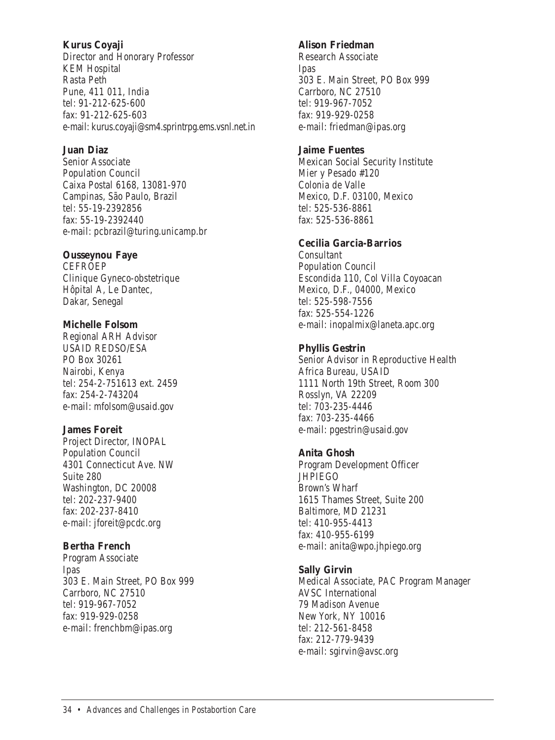#### **Kurus Coyaji**

Director and Honorary Professor KEM Hospital Rasta Peth Pune, 411 011, India tel: 01-212-625-600 fax: 91-212-625-603 e-mail: kurus.coyaji@sm4.sprintrpg.ems.vsnl.net.in

#### **Juan Diaz**

Senior Associate Population Council Caixa Postal 6168, 13081-970 Campinas, São Paulo, Brazil tel: 55-19-229286 fax: 55-19-2392440 e-mail: pcbrazil@turing.unicamp.br

#### **Ousseynou Faye**

CEFROEP Clinique Gyneco-obstetrique Hôpital A, Le Dantec, Dakar, Senegal

#### **Michelle Folsom**

Regional ARH Advisor USAID REDSO/ESA PO Box 30261 Nairobi, Kenya tel: 254-2-751613 ext. 2459 fax: 254-2-742204 e-mail: mfolsom@usaid.gov

#### **James Foreit**

Project Director, INOPAL Population Council 4301 Connecticut Ave. NW Suite 290 Washington, DC 20008 tel: 202-227-0400 fax: 202-237-8410 e-mail: jforeit@pcdc.org

#### **Bertha French**

Program Associate Ipas 303 E. Main Street, PO Box 999 Carrboro, NC 27510 tel: 919-967-7052 fax: 919-929-0258 e-mail: frenchbm@ipas.org

#### **Alison Friedman**

Research Associate Ipas 303 E. Main Street, PO Box 999 Carrboro, NC 27510 tel: 010-967-7052 fax: 919-929-0258 e-mail: friedman@ipas.org

#### **Jaime Fuentes**

Mexican Social Security Institute Mier y Pesado #120 Colonia de Valle Mexico, D.F. 03100, Mexico tel: 525-536-8861 fax: 525-536-8861

#### **Cecilia Garcia-Barrios**

Consultant Population Council Escondida 110, Col Villa Coyoacan Mexico, D.F., 04000, Mexico tel: 525-598-7556 fax: 525-554-1226 e-mail: inopalmix@laneta.apc.org

#### **Phyllis Gestrin**

Senior Advisor in Reproductive Health Africa Bureau, USAID 1111 North 19th Street, Room 300 Rosslyn, VA 22209 tel: 703-235-4446 fax: 703-235-4466 e-mail: pgestrin@usaid.gov

#### **Anita Ghosh**

Program Development Officer **JHPIEGO** Brown's Wharf 1615 Thames Street, Suite 200 Baltimore, MD 21231 tel: 410-955-4413 fax: 410-955-6199 e-mail: anita@wpo.jhpiego.org

#### **Sally Girvin**

Medical Associate, PAC Program Manager AVSC International 79 Madison Avenue New York, NY 10016 tel: 212-561-8458 fax: 212-779-9439 e-mail: sgirvin@avsc.org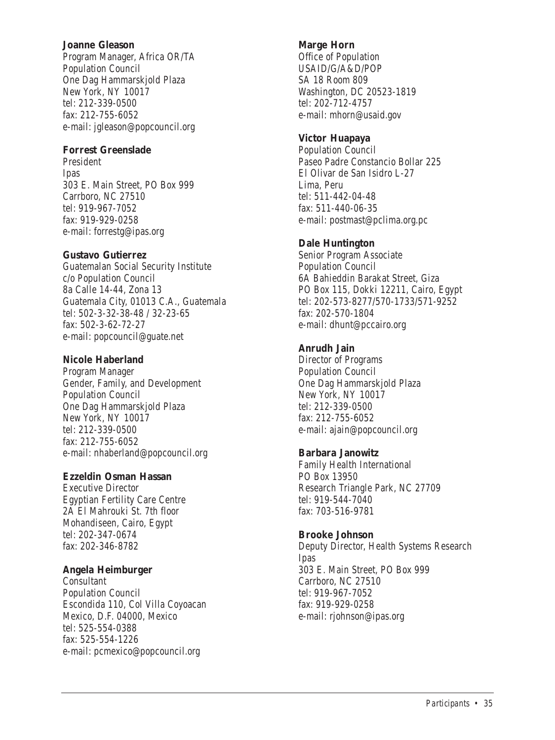#### **Joanne Gleason**

Program Manager, Africa OR/TA Population Council One Dag Hammarskjold Plaza New York, NV 10017 tel: 212-228-0500 fax: 212-755-6052 e-mail: jgleason@popcouncil.org

#### **Forrest Greenslade**

President Ipas 303 E. Main Street, PO Box 999 Carrboro, NC 27510 tel: 919-967-7052 fax: 919-929-0258 e-mail: forrestg@ipas.org

#### **Gustavo Gutierrez**

Guatemalan Social Security Institute c/o Population Council 8a Calle 14-44, Zona 13 Guatemala City, 01013 C.A., Guatemala tel: 502-3-32-38-48 / 32-23-65 fax: 502-3-62-72-27 e-mail: popcouncil@guate.net

#### **Nicole Haberland**

Program Manager Gender, Family, and Development Population Council One Dag Hammarskjold Plaza New York, NY 10017 tel: 212-339-0500 fax: 212-755-6052 e-mail: nhaberland@popcouncil.org

#### **Ezzeldin Osman Hassan**

Executive Director Egyptian Fertility Care Centre 2A El Mahrouki St. 7th floor Mohandiseen, Cairo, Egypt tel: 202-347-0674 fax: 202-346-8782

#### **Angela Heimburger**

Consultant Population Council Escondida 110, Col Villa Coyoacan Mexico, D.F. 04000, Mexico tel: 525-554-0288 fax: 525-554-1226 e-mail: pcmexico@popcouncil.org

#### **Marge Horn**

Office of Population USAID/G/A&D/POP SA 19 Room 909 Washington, DC 20523-1819 tel: 202-712-4757 e-mail: mhorn@usaid.gov

#### **Victor Huapaya**

Population Council Paseo Padre Constancio Bollar 225 El Olivar de San Isidro L-27 Lima, Peru tel: 511-442-04-48 fax: 511-440-06-35 e-mail: postmast@pclima.org.pc

#### **Dale Huntington**

Senior Program Associate Population Council 6A Bahieddin Barakat Street, Giza PO Box 115, Dokki 12211, Cairo, Egypt tel: 202-573-8277/570-1733/571-9252 fax: 202-570-1804 e-mail: dhunt@pccairo.org

#### **Anrudh Jain**

Director of Programs Population Council One Dag Hammarskjold Plaza New York, NV 10017 tel: 212-339-0500 fax: 212-755-6052 e-mail: ajain@popcouncil.org

#### **Barbara Janowitz**

Family Health International PO Box 13950 Research Triangle Park, NC 27709 tel: 919-544-7040 fax: 703-516-9781

#### **Brooke Johnson**

Deputy Director, Health Systems Research Ipas 303 E. Main Street, PO Box 999 Carrboro, NC 27510 tel: 919-967-7052 fax: 919-929-0258 e-mail: rjohnson@ipas.org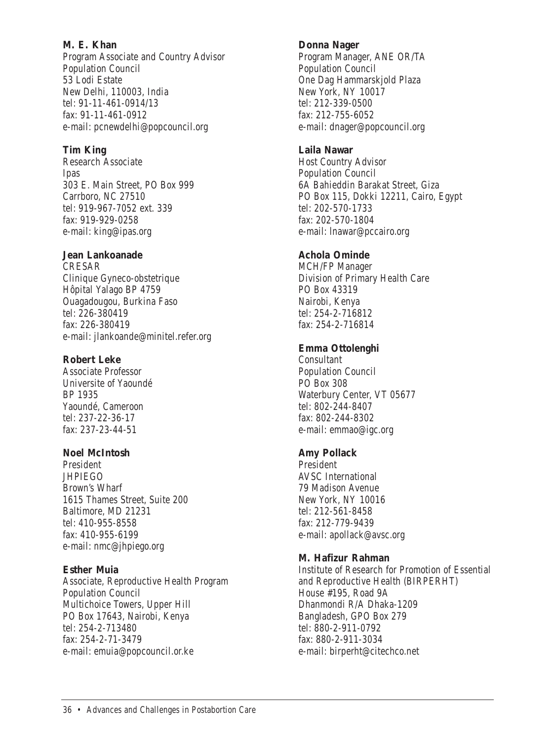#### **M. E. Khan** Program Associate and Country Advisor Population Council 53 Lodi Estate New Delhi, 110003, India tel: 91-11-461-0914/13 fax: 91-11-461-0912 e-mail: pcnewdelhi@popcouncil.org

#### **Tim King**

Research Associate Ipas 303 E. Main Street, PO Box 999 Carrboro, NC 27510 tel: 010-967-7052 ext. 229 fax: 919-929-0258 e-mail: king@ipas.org

#### **Jean Lankoanade**

CRESAR Clinique Gyneco-obstetrique Hôpital Yalago BP 4759 Ouagadougou, Burkina Faso tel: 226-280410 fax: 226-380419 e-mail: jlankoande@minitel.refer.org

#### **Robert Leke**

Associate Professor Universite of Yaoundé BP 1935 Yaoundé, Cameroon tel: 237-22-36-17 fax: 237-23-44-51

#### **Noel McIntosh**

President **JHPIEGO** Brown's Wharf 1615 Thames Street, Suite 200 Baltimore, MD 21231 tel: 410-955-9558 fax: 410-955-6199 e-mail: nmc@jhpiego.org

#### **Esther Muia**

Associate, Reproductive Health Program Population Council Multichoice Towers, Upper Hill PO Box 17643, Nairobi, Kenya tel: 254-2-712490 fax: 254-2-71-3479 e-mail: emuia@popcouncil.or.ke

#### **Donna Nager**

Program Manager, ANE OR/TA Population Council One Dag Hammarskjold Plaza New York, NV 10017 tel: 212-220-0500 fax: 212-755-6052 e-mail: dnager@popcouncil.org

#### **Laila Nawar**

Host Country Advisor Population Council 6A Bahieddin Barakat Street, Giza PO Box 115, Dokki 12211, Cairo, Egypt tel: 202-570-1722 fax: 202-570-1804 e-mail: lnawar@pccairo.org

#### **Achola Ominde**

MCH/FP Manager Division of Primary Health Care PO Box 43319 Nairobi, Kenya tel: 254-2-716912 fax: 254-2-716814

#### **Emma Ottolenghi**

Consultant Population Council PO Box 308 Waterbury Center, VT 05677 tel: 802-244-8407 fax: 802-244-8302 e-mail: emmao@igc.org

#### **Amy Pollack**

President AVSC International 79 Madison Avenue New York, NY 10016 tel: 212-561-8458 fax: 212-779-9439 e-mail: apollack@avsc.org

#### **M. Hafizur Rahman**

Institute of Research for Promotion of Essential and Reproductive Health (BIRPERHT) House #195, Road 9A Dhanmondi R/A Dhaka-1209 Bangladesh, GPO Box 279 tel: 880-2-011-0702 fax: 880-2-911-3034 e-mail: birperht@citechco.net